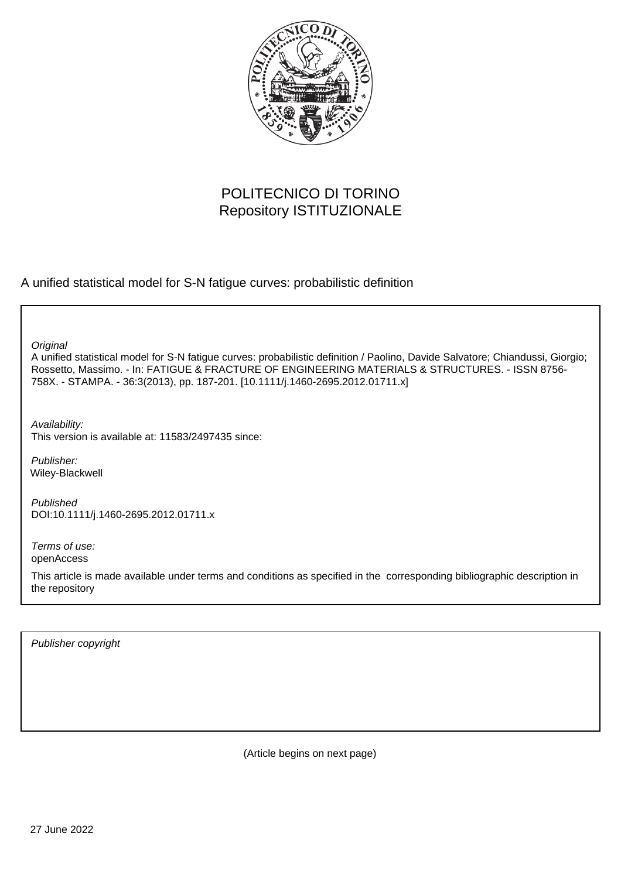

## POLITECNICO DI TORINO Repository ISTITUZIONALE

A unified statistical model for S-N fatigue curves: probabilistic definition

**Original** 

A unified statistical model for S-N fatigue curves: probabilistic definition / Paolino, Davide Salvatore; Chiandussi, Giorgio; Rossetto, Massimo. - In: FATIGUE & FRACTURE OF ENGINEERING MATERIALS & STRUCTURES. - ISSN 8756- 758X. - STAMPA. - 36:3(2013), pp. 187-201. [10.1111/j.1460-2695.2012.01711.x]

Availability: This version is available at: 11583/2497435 since:

Publisher: Wiley-Blackwell

Published DOI:10.1111/j.1460-2695.2012.01711.x

Terms of use: openAccess

This article is made available under terms and conditions as specified in the corresponding bibliographic description in the repository

Publisher copyright

(Article begins on next page)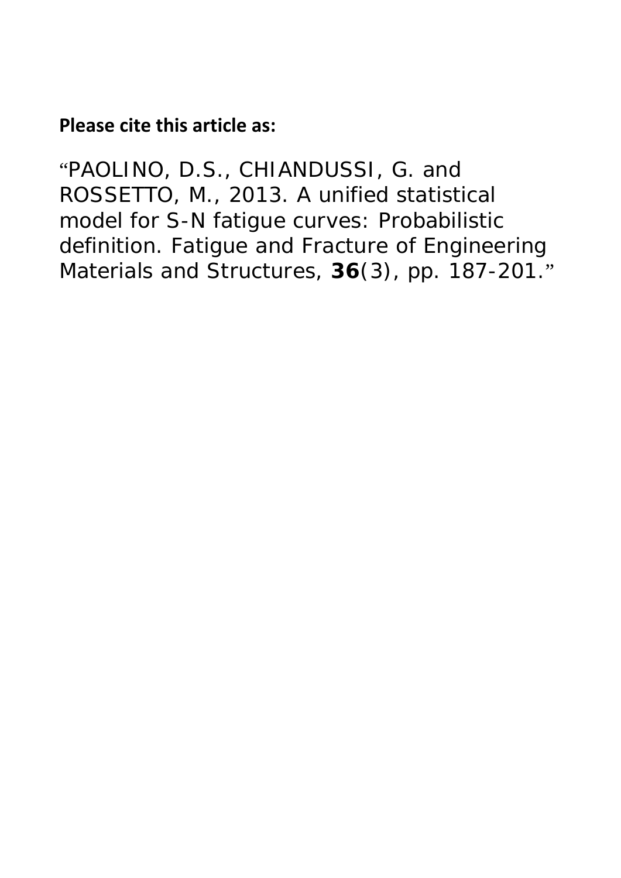# **Please cite this article as:**

"PAOLINO, D.S., CHIANDUSSI, G. and ROSSETTO, M., 2013. A unified statistical model for S-N fatigue curves: Probabilistic definition. *Fatigue and Fracture of Engineering Materials and Structures,* **36**(3), pp. 187-201."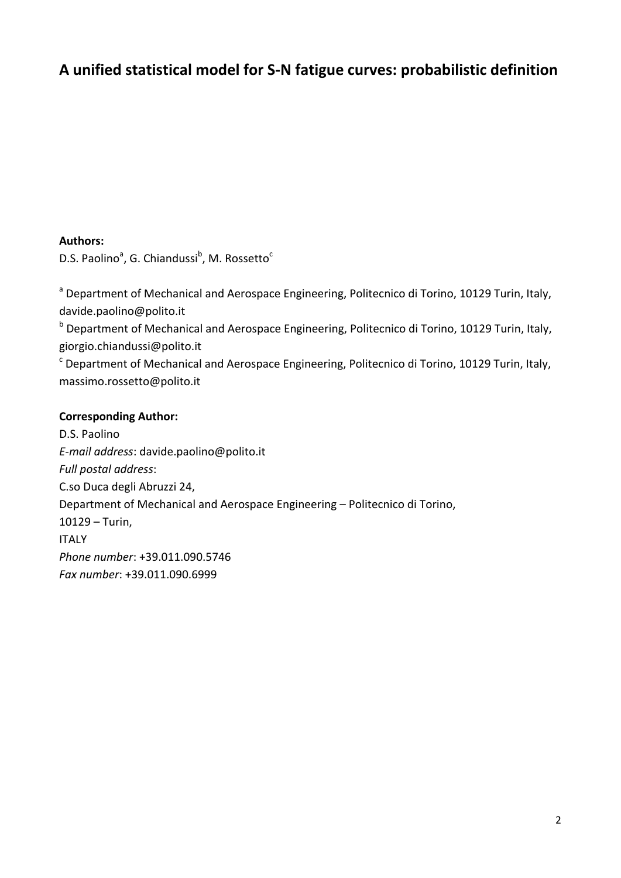## **A unified statistical model for S‐N fatigue curves: probabilistic definition**

#### **Authors:**

D.S. Paolino<sup>a</sup>, G. Chiandussi<sup>b</sup>, M. Rossetto<sup>c</sup>

<sup>a</sup> Department of Mechanical and Aerospace Engineering, Politecnico di Torino, 10129 Turin, Italy, davide.paolino@polito.it

<sup>b</sup> Department of Mechanical and Aerospace Engineering, Politecnico di Torino, 10129 Turin, Italy, giorgio.chiandussi@polito.it

 $\textdegree$  Department of Mechanical and Aerospace Engineering, Politecnico di Torino, 10129 Turin, Italy, massimo.rossetto@polito.it

#### **Corresponding Author:**

D.S. Paolino *E‐mail address*: davide.paolino@polito.it *Full postal address*: C.so Duca degli Abruzzi 24, Department of Mechanical and Aerospace Engineering – Politecnico di Torino, 10129 – Turin, ITALY *Phone number*: +39.011.090.5746 *Fax number*: +39.011.090.6999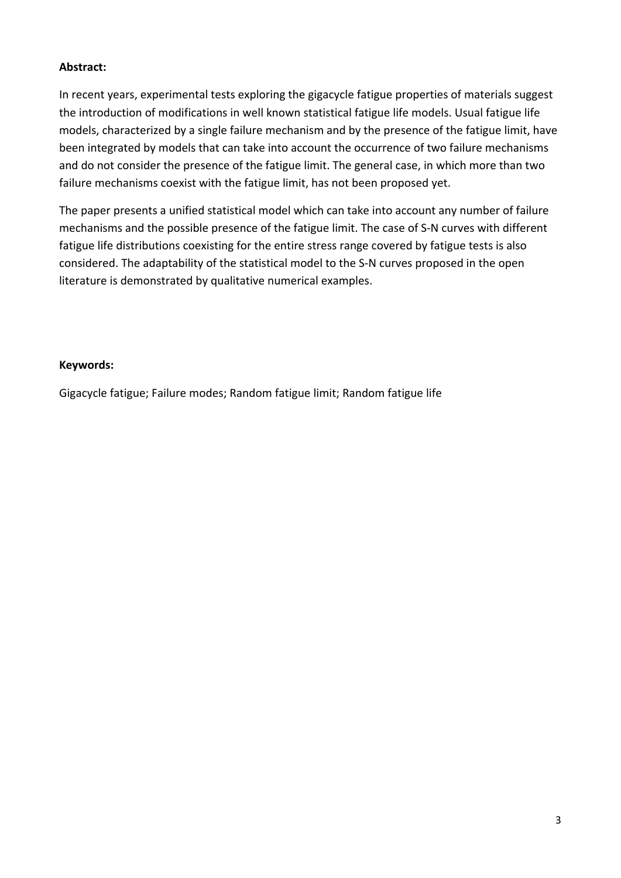### **Abstract:**

In recent years, experimental tests exploring the gigacycle fatigue properties of materials suggest the introduction of modifications in well known statistical fatigue life models. Usual fatigue life models, characterized by a single failure mechanism and by the presence of the fatigue limit, have been integrated by models that can take into account the occurrence of two failure mechanisms and do not consider the presence of the fatigue limit. The general case, in which more than two failure mechanisms coexist with the fatigue limit, has not been proposed yet.

The paper presents a unified statistical model which can take into account any number of failure mechanisms and the possible presence of the fatigue limit. The case of S‐N curves with different fatigue life distributions coexisting for the entire stress range covered by fatigue tests is also considered. The adaptability of the statistical model to the S‐N curves proposed in the open literature is demonstrated by qualitative numerical examples.

#### **Keywords:**

Gigacycle fatigue; Failure modes; Random fatigue limit; Random fatigue life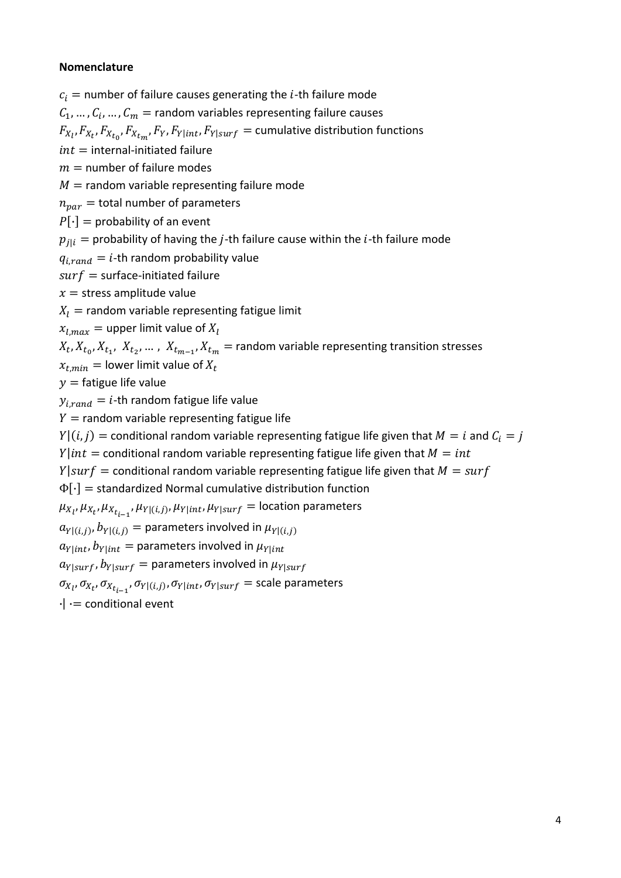## **Nomenclature**

 $c_i$  = number of failure causes generating the *i*-th failure mode

 $C_1, ..., C_i, ..., C_m$  = random variables representing failure causes

 $F_{X_l}, F_{X_{t}}, F_{X_{t_0}}, F_{X_{t_m}}, F_Y, F_{Y|int}, F_{Y|surf} =$  cumulative distribution functions

 $int =$  internal-initiated failure

 $m =$  number of failure modes

 $M =$  random variable representing failure mode

 $n_{\text{nar}} =$  total number of parameters

 $P[\cdot] =$  probability of an event

 $p_{j|i}^{\dagger} =$  probability of having the  $j$ -th failure cause within the  $i$ -th failure mode

 $q_{i, rand} = i$ -th random probability value

 $surf = surface$ -initiated failure

 $x =$ stress amplitude value

 $X_I$  = random variable representing fatigue limit

 $x_{l,max}$  = upper limit value of  $X_l$ 

 $X_t, X_{t_0}, X_{t_1}, X_{t_2}, \ldots, X_{t_{m-1}}, X_{t_m}$  = random variable representing transition stresses

 $x_{t,min} =$  lower limit value of  $X_t$ 

 $y =$  fatigue life value

 $y_{i, rand} = i$ -th random fatigue life value

 $Y =$  random variable representing fatigue life

 $Y|(i, j)$  = conditional random variable representing fatigue life given that  $M = i$  and  $C_i = j$ 

 $Y|int =$  conditional random variable representing fatigue life given that  $M = int$ 

 $Y|surf =$  conditional random variable representing fatigue life given that  $M = surf$ 

 $\Phi[\cdot]$  = standardized Normal cumulative distribution function

 $\mu_{X_{l}}, \mu_{X_{t}}, \mu_{X_{t_{i-1}}}, \mu_{Y|(i,j)}, \mu_{Y|int}, \mu_{Y|surf} =$  location parameters

 $a_{Y|((i,j), b_{Y|((i,j))})} =$  parameters involved in  $\mu_{Y|((i,j))}$ 

 $a_{Y|int}$ ,  $b_{Y|int}$  = parameters involved in  $\mu_{Y|int}$ 

 $a_{Y|surf}$ ,  $b_{Y|surf}$  = parameters involved in  $\mu_{Y|surf}$ 

 $\sigma_{X_{l}},\sigma_{X_{t}}$ ,  $\sigma_{X_{t_{i-1}}},\sigma_{Y|(i,j)},\sigma_{Y|int},\sigma_{Y|surf}$  = scale parameters

 $\cdot$  |  $\cdot$  = conditional event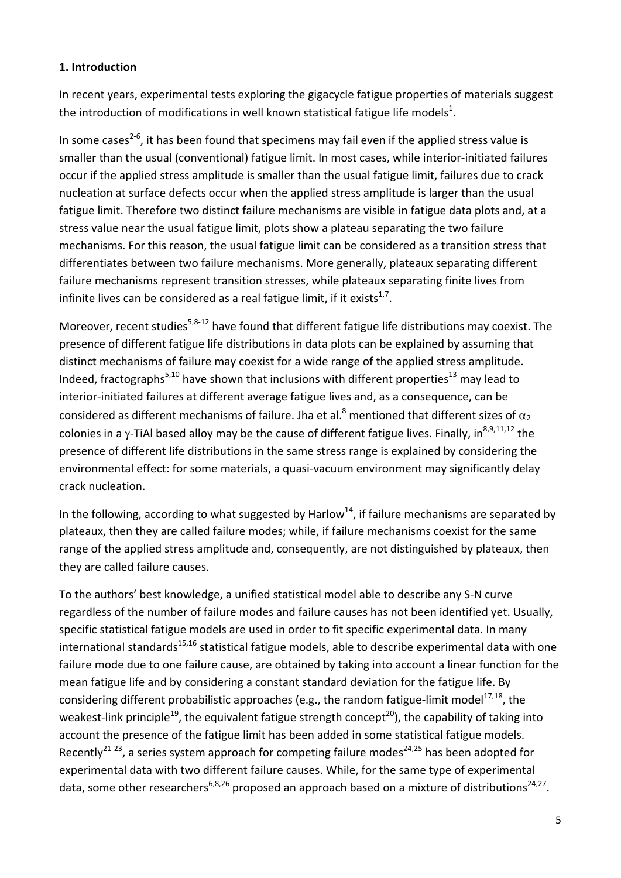## **1. Introduction**

In recent years, experimental tests exploring the gigacycle fatigue properties of materials suggest the introduction of modifications in well known statistical fatigue life models<sup>1</sup>.

In some cases<sup>2-6</sup>, it has been found that specimens may fail even if the applied stress value is smaller than the usual (conventional) fatigue limit. In most cases, while interior-initiated failures occur if the applied stress amplitude is smaller than the usual fatigue limit, failures due to crack nucleation at surface defects occur when the applied stress amplitude is larger than the usual fatigue limit. Therefore two distinct failure mechanisms are visible in fatigue data plots and, at a stress value near the usual fatigue limit, plots show a plateau separating the two failure mechanisms. For this reason, the usual fatigue limit can be considered as a transition stress that differentiates between two failure mechanisms. More generally, plateaux separating different failure mechanisms represent transition stresses, while plateaux separating finite lives from infinite lives can be considered as a real fatigue limit, if it exists $1/7$ .

Moreover, recent studies<sup>5,8-12</sup> have found that different fatigue life distributions may coexist. The presence of different fatigue life distributions in data plots can be explained by assuming that distinct mechanisms of failure may coexist for a wide range of the applied stress amplitude. Indeed, fractographs<sup>5,10</sup> have shown that inclusions with different properties<sup>13</sup> may lead to interior‐initiated failures at different average fatigue lives and, as a consequence, can be considered as different mechanisms of failure. Jha et al.<sup>8</sup> mentioned that different sizes of  $\alpha_2$ colonies in a  $\gamma$ -TiAl based alloy may be the cause of different fatigue lives. Finally, in<sup>8,9,11,12</sup> the presence of different life distributions in the same stress range is explained by considering the environmental effect: for some materials, a quasi‐vacuum environment may significantly delay crack nucleation.

In the following, according to what suggested by Harlow<sup>14</sup>, if failure mechanisms are separated by plateaux, then they are called failure modes; while, if failure mechanisms coexist for the same range of the applied stress amplitude and, consequently, are not distinguished by plateaux, then they are called failure causes.

To the authors' best knowledge, a unified statistical model able to describe any S‐N curve regardless of the number of failure modes and failure causes has not been identified yet. Usually, specific statistical fatigue models are used in order to fit specific experimental data. In many international standards $^{15,16}$  statistical fatigue models, able to describe experimental data with one failure mode due to one failure cause, are obtained by taking into account a linear function for the mean fatigue life and by considering a constant standard deviation for the fatigue life. By considering different probabilistic approaches (e.g., the random fatigue-limit model<sup>17,18</sup>, the weakest-link principle<sup>19</sup>, the equivalent fatigue strength concept<sup>20</sup>), the capability of taking into account the presence of the fatigue limit has been added in some statistical fatigue models. Recently<sup>21-23</sup>, a series system approach for competing failure modes<sup>24,25</sup> has been adopted for experimental data with two different failure causes. While, for the same type of experimental data, some other researchers<sup>6,8,26</sup> proposed an approach based on a mixture of distributions<sup>24,27</sup>.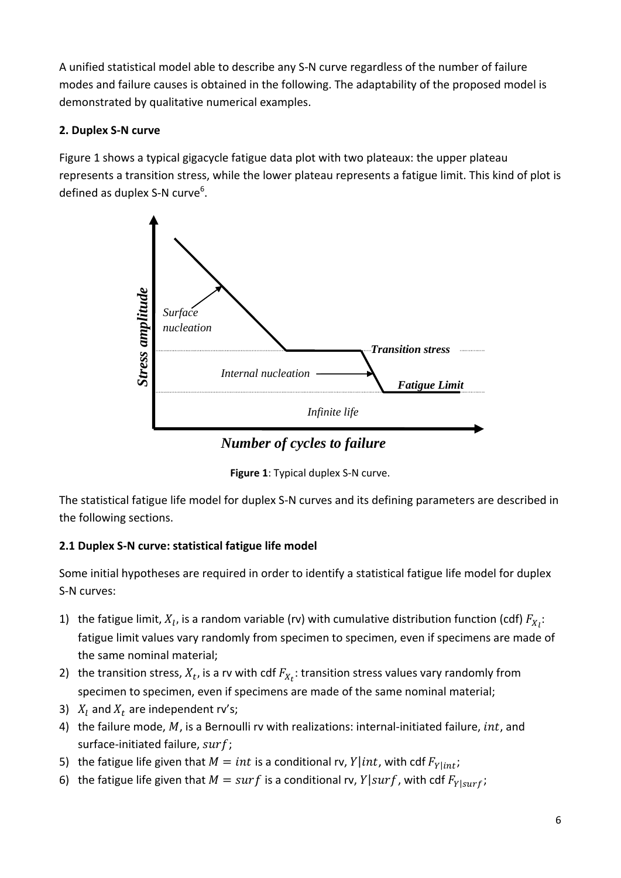A unified statistical model able to describe any S‐N curve regardless of the number of failure modes and failure causes is obtained in the following. The adaptability of the proposed model is demonstrated by qualitative numerical examples.

## **2. Duplex S‐N curve**

Figure 1 shows a typical gigacycle fatigue data plot with two plateaux: the upper plateau represents a transition stress, while the lower plateau represents a fatigue limit. This kind of plot is defined as duplex S-N curve<sup>6</sup>.





The statistical fatigue life model for duplex S‐N curves and its defining parameters are described in the following sections.

## **2.1 Duplex S‐N curve: statistical fatigue life model**

Some initial hypotheses are required in order to identify a statistical fatigue life model for duplex S‐N curves:

- 1) the fatigue limit,  $X_l$ , is a random variable (rv) with cumulative distribution function (cdf)  $F_{X_l}$ : fatigue limit values vary randomly from specimen to specimen, even if specimens are made of the same nominal material;
- 2) the transition stress,  $X_t$ , is a rv with cdf  $F_{X_t}$ : transition stress values vary randomly from specimen to specimen, even if specimens are made of the same nominal material;
- 3)  $X_l$  and  $X_t$  are independent rv's;
- 4) the failure mode,  $M$ , is a Bernoulli rv with realizations: internal-initiated failure,  $int$ , and surface-initiated failure, surf;
- 5) the fatigue life given that  $M = int$  is a conditional rv,  $Y|int$ , with cdf  $F_{Y|int}$ ;
- 6) the fatigue life given that  $M = surf$  is a conditional rv,  $Y|surf$ , with cdf  $F_{Y|surf}$ ;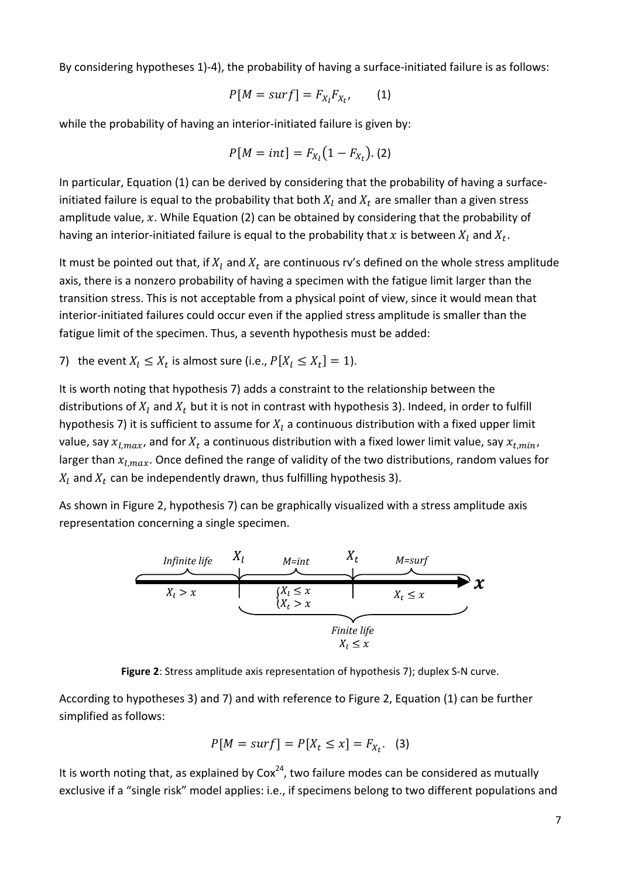By considering hypotheses 1)-4), the probability of having a surface-initiated failure is as follows:

$$
P[M = surf] = F_{X_l} F_{X_{t'}} \qquad (1)
$$

while the probability of having an interior-initiated failure is given by:

$$
P[M = int] = F_{X_l}(1 - F_{X_t}).
$$
 (2)

In particular, Equation (1) can be derived by considering that the probability of having a surface‐ initiated failure is equal to the probability that both  $X_l$  and  $X_t$  are smaller than a given stress amplitude value,  $x$ . While Equation (2) can be obtained by considering that the probability of having an interior-initiated failure is equal to the probability that x is between  $X_l$  and  $X_t$ .

It must be pointed out that, if  $X_l$  and  $X_t$  are continuous rv's defined on the whole stress amplitude axis, there is a nonzero probability of having a specimen with the fatigue limit larger than the transition stress. This is not acceptable from a physical point of view, since it would mean that interior‐initiated failures could occur even if the applied stress amplitude is smaller than the fatigue limit of the specimen. Thus, a seventh hypothesis must be added:

7) the event  $X_l \leq X_t$  is almost sure (i.e.,  $P[X_l \leq X_t] = 1$ ).

It is worth noting that hypothesis 7) adds a constraint to the relationship between the distributions of  $X_l$  and  $X_t$  but it is not in contrast with hypothesis 3). Indeed, in order to fulfill hypothesis 7) it is sufficient to assume for  $X_l$  a continuous distribution with a fixed upper limit value, say  $x_{l,max}$ , and for  $X_t$  a continuous distribution with a fixed lower limit value, say  $x_{t,min}$ , larger than  $x_{l,max}$ . Once defined the range of validity of the two distributions, random values for  $X_l$  and  $X_t$  can be independently drawn, thus fulfilling hypothesis 3).

As shown in Figure 2, hypothesis 7) can be graphically visualized with a stress amplitude axis representation concerning a single specimen.



**Figure 2**: Stress amplitude axis representation of hypothesis 7); duplex S‐N curve.

According to hypotheses 3) and 7) and with reference to Figure 2, Equation (1) can be further simplified as follows:

$$
P[M = surf] = P[X_t \le x] = F_{X_t}.
$$
 (3)

It is worth noting that, as explained by  $Cox<sup>24</sup>$ , two failure modes can be considered as mutually exclusive if a "single risk" model applies: i.e., if specimens belong to two different populations and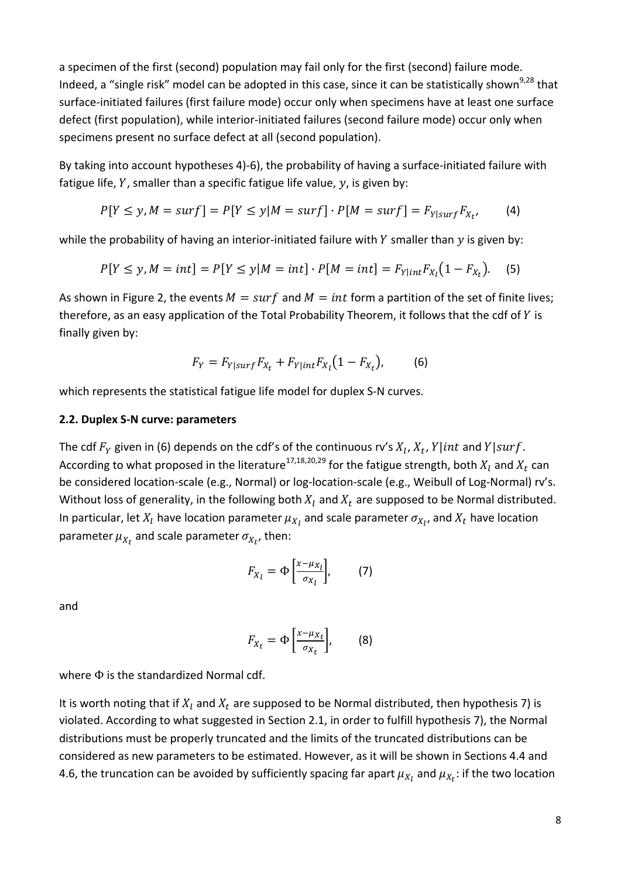a specimen of the first (second) population may fail only for the first (second) failure mode. Indeed, a "single risk" model can be adopted in this case, since it can be statistically shown<sup>9,28</sup> that surface-initiated failures (first failure mode) occur only when specimens have at least one surface defect (first population), while interior-initiated failures (second failure mode) occur only when specimens present no surface defect at all (second population).

By taking into account hypotheses 4)-6), the probability of having a surface-initiated failure with fatigue life,  $Y$ , smaller than a specific fatigue life value,  $y$ , is given by:

$$
P[Y \le y, M = surf] = P[Y \le y | M = surf] \cdot P[M = surf] = F_{Y|surf} F_{X_t}, \qquad (4)
$$

while the probability of having an interior-initiated failure with  $Y$  smaller than  $y$  is given by:

$$
P[Y \le y, M = int] = P[Y \le y | M = int] \cdot P[M = int] = F_{Y|int} F_{X_{l}}(1 - F_{X_{t}}).
$$
 (5)

As shown in Figure 2, the events  $M = \text{surf}$  and  $M = \text{int}$  form a partition of the set of finite lives; therefore, as an easy application of the Total Probability Theorem, it follows that the cdf of  $Y$  is finally given by:

$$
F_Y = F_{Y|surf} F_{X_t} + F_{Y|int} F_{X_t} (1 - F_{X_t}),
$$
 (6)

which represents the statistical fatigue life model for duplex S-N curves.

#### **2.2. Duplex S‐N curve: parameters**

The cdf  $F_Y$  given in (6) depends on the cdf's of the continuous rv's  $X_1, X_t, Y|int$  and  $Y|surf$ . According to what proposed in the literature<sup>17,18,20,29</sup> for the fatigue strength, both  $X_t$  and  $X_t$  can be considered location-scale (e.g., Normal) or log-location-scale (e.g., Weibull of Log-Normal) rv's. Without loss of generality, in the following both  $X_l$  and  $X_t$  are supposed to be Normal distributed. In particular, let  $X_l$  have location parameter  $\mu_{X_l}$  and scale parameter  $\sigma_{X_{l'}}$  and  $X_t$  have location parameter  $\mu_{X_t}$  and scale parameter  $\sigma_{X_{t}}$ , then:

$$
F_{X_l} = \Phi\left[\frac{x - \mu_{X_l}}{\sigma_{X_l}}\right],\qquad(7)
$$

and

$$
F_{X_t} = \Phi\left[\frac{x - \mu_{X_t}}{\sigma_{X_t}}\right],\qquad(8)
$$

where Φ is the standardized Normal cdf.

It is worth noting that if  $X_l$  and  $X_t$  are supposed to be Normal distributed, then hypothesis 7) is violated. According to what suggested in Section 2.1, in order to fulfill hypothesis 7), the Normal distributions must be properly truncated and the limits of the truncated distributions can be considered as new parameters to be estimated. However, as it will be shown in Sections 4.4 and 4.6, the truncation can be avoided by sufficiently spacing far apart  $\mu_{X_l}$  and  $\mu_{X_t}$ : if the two location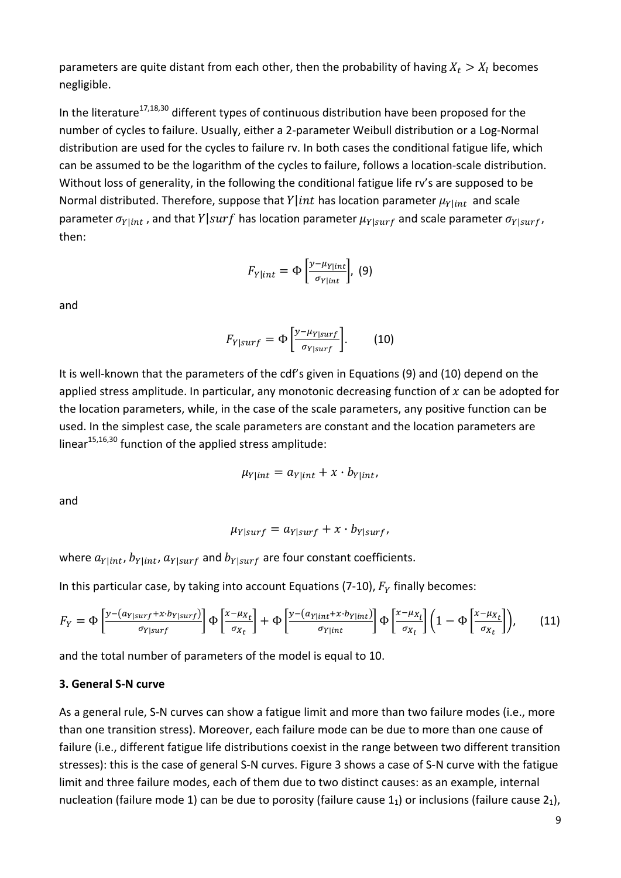parameters are quite distant from each other, then the probability of having  $X_t > X_l$  becomes negligible.

In the literature<sup>17,18,30</sup> different types of continuous distribution have been proposed for the number of cycles to failure. Usually, either a 2‐parameter Weibull distribution or a Log‐Normal distribution are used for the cycles to failure rv. In both cases the conditional fatigue life, which can be assumed to be the logarithm of the cycles to failure, follows a location‐scale distribution. Without loss of generality, in the following the conditional fatigue life rv's are supposed to be Normal distributed. Therefore, suppose that  $Y|int$  has location parameter  $\mu_{Y|int}$  and scale parameter  $\sigma_{Y|int}$ , and that  $Y|surf$  has location parameter  $\mu_{Y|surf}$  and scale parameter  $\sigma_{Y|surf}$ , then:

$$
F_{Y|int} = \Phi\left[\frac{y-\mu_{Y|int}}{\sigma_{Y|int}}\right], (9)
$$

and

$$
F_{Y|surf} = \Phi \left[ \frac{y - \mu_{Y|surf}}{\sigma_{Y|surf}} \right].
$$
 (10)

It is well-known that the parameters of the cdf's given in Equations (9) and (10) depend on the applied stress amplitude. In particular, any monotonic decreasing function of  $x$  can be adopted for the location parameters, while, in the case of the scale parameters, any positive function can be used. In the simplest case, the scale parameters are constant and the location parameters are linear $15,16,30$  function of the applied stress amplitude:

$$
\mu_{Y|int} = a_{Y|int} + x \cdot b_{Y|int},
$$

and

$$
\mu_{Y|surf} = a_{Y|surf} + x \cdot b_{Y|surf},
$$

where  $a_{Y|int}$ ,  $b_{Y|int}$ ,  $a_{Y|surf}$  and  $b_{Y|surf}$  are four constant coefficients.

In this particular case, by taking into account Equations (7-10),  $F_Y$  finally becomes:

$$
F_Y = \Phi\left[\frac{y - (a_{Y|surf} + x \cdot b_{Y|surf})}{\sigma_{Y|surf}}\right] \Phi\left[\frac{x - \mu_{X_t}}{\sigma_{X_t}}\right] + \Phi\left[\frac{y - (a_{Y|int} + x \cdot b_{Y|int})}{\sigma_{Y|int}}\right] \Phi\left[\frac{x - \mu_{X_t}}{\sigma_{X_t}}\right] \left(1 - \Phi\left[\frac{x - \mu_{X_t}}{\sigma_{X_t}}\right]\right),\tag{11}
$$

and the total number of parameters of the model is equal to 10.

#### **3. General S‐N curve**

As a general rule, S-N curves can show a fatigue limit and more than two failure modes (i.e., more than one transition stress). Moreover, each failure mode can be due to more than one cause of failure (i.e., different fatigue life distributions coexist in the range between two different transition stresses): this is the case of general S‐N curves. Figure 3 shows a case of S‐N curve with the fatigue limit and three failure modes, each of them due to two distinct causes: as an example, internal nucleation (failure mode 1) can be due to porosity (failure cause  $1<sub>1</sub>$ ) or inclusions (failure cause  $2<sub>1</sub>$ ),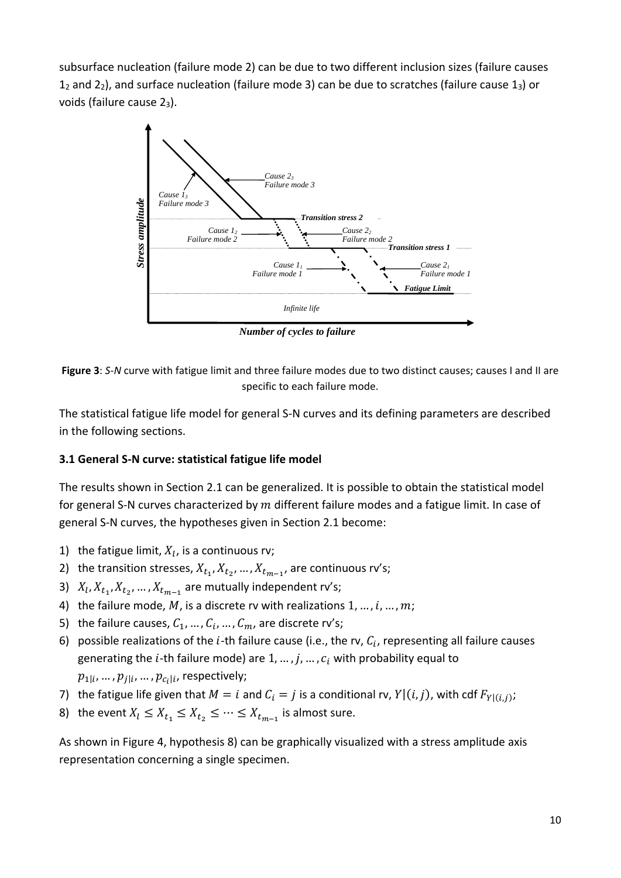subsurface nucleation (failure mode 2) can be due to two different inclusion sizes (failure causes  $1<sub>2</sub>$  and  $2<sub>2</sub>$ ), and surface nucleation (failure mode 3) can be due to scratches (failure cause  $1<sub>3</sub>$ ) or voids (failure cause 23).



*Number of cycles to failure* 

**Figure 3**: *S*‐*N* curve with fatigue limit and three failure modes due to two distinct causes; causes I and II are specific to each failure mode.

The statistical fatigue life model for general S‐N curves and its defining parameters are described in the following sections.

## **3.1 General S‐N curve: statistical fatigue life model**

The results shown in Section 2.1 can be generalized. It is possible to obtain the statistical model for general S-N curves characterized by  $m$  different failure modes and a fatigue limit. In case of general S‐N curves, the hypotheses given in Section 2.1 become:

- 1) the fatigue limit,  $X_l$ , is a continuous rv;
- 2) the transition stresses,  $X_{t_1}, X_{t_2}, ..., X_{t_{m-1}}$ , are continuous rv's;
- 3)  $X_l, X_{t_1}, X_{t_2}, \ldots, X_{t_{m-1}}$  are mutually independent rv's;
- 4) the failure mode, M, is a discrete rv with realizations  $1, ..., i, ..., m$ ;
- 5) the failure causes,  $C_1$ , ...,  $C_i$ , ...,  $C_m$ , are discrete rv's;
- 6) possible realizations of the *i*-th failure cause (i.e., the rv,  $C_i$ , representing all failure causes generating the *i*-th failure mode) are  $1, ..., j, ..., c_i$  with probability equal to  $p_{1|i},...,p_{j|i},...,p_{c_i|i}$ , respectively;
- 7) the fatigue life given that  $M = i$  and  $C_i = j$  is a conditional rv,  $Y|(i,j)$ , with cdf  $F_{Y|(i,j)}$ ;
- 8) the event  $X_l \leq X_{t_1} \leq X_{t_2} \leq \cdots \leq X_{t_{m-1}}$  is almost sure.

As shown in Figure 4, hypothesis 8) can be graphically visualized with a stress amplitude axis representation concerning a single specimen.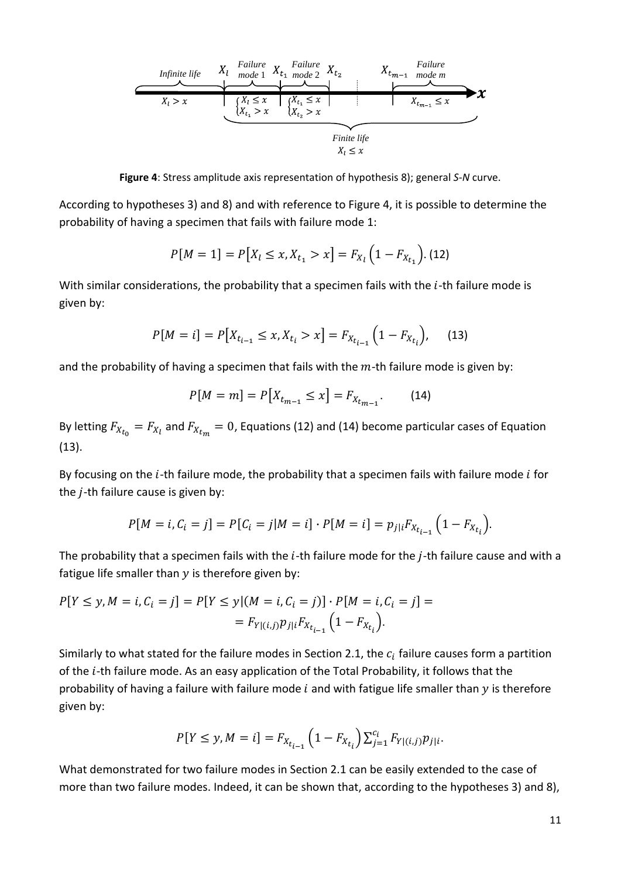

**Figure 4**: Stress amplitude axis representation of hypothesis 8); general *S*‐*N* curve.

According to hypotheses 3) and 8) and with reference to Figure 4, it is possible to determine the probability of having a specimen that fails with failure mode 1:

$$
P[M = 1] = P[X_l \le x, X_{t_1} > x] = F_{X_l} \left( 1 - F_{X_{t_1}} \right). (12)
$$

With similar considerations, the probability that a specimen fails with the  $i$ -th failure mode is given by:

$$
P[M = i] = P[X_{t_{i-1}} \le x, X_{t_i} > x] = F_{X_{t_{i-1}}} (1 - F_{X_{t_i}}), \quad (13)
$$

and the probability of having a specimen that fails with the  $m$ -th failure mode is given by:

$$
P[M = m] = P[X_{t_{m-1}} \le x] = F_{X_{t_{m-1}}}.
$$
 (14)

By letting  $F_{X_{t_0}} = F_{X_t}$  and  $F_{X_{t_m}} = 0$ , Equations (12) and (14) become particular cases of Equation (13).

By focusing on the  $i$ -th failure mode, the probability that a specimen fails with failure mode  $i$  for the  $j$ -th failure cause is given by:

$$
P[M = i, C_i = j] = P[C_i = j | M = i] \cdot P[M = i] = p_{j|i} F_{X_{t_{i-1}}} \left(1 - F_{X_{t_i}}\right).
$$

The probability that a specimen fails with the  $i$ -th failure mode for the  $j$ -th failure cause and with a fatigue life smaller than  $y$  is therefore given by:

$$
P[Y \le y, M = i, C_i = j] = P[Y \le y | (M = i, C_i = j)] \cdot P[M = i, C_i = j] =
$$
  
= 
$$
F_{Y|(i,j)} p_{j|i} F_{X_{t_{i-1}}} (1 - F_{X_{t_i}}).
$$

Similarly to what stated for the failure modes in Section 2.1, the  $c_i$  failure causes form a partition of the *i*-th failure mode. As an easy application of the Total Probability, it follows that the probability of having a failure with failure mode  $i$  and with fatigue life smaller than  $y$  is therefore given by:

$$
P[Y \le y, M = i] = F_{X_{t_{i-1}}} \left( 1 - F_{X_{t_i}} \right) \sum_{j=1}^{c_i} F_{Y | (i,j)} p_{j|i}.
$$

What demonstrated for two failure modes in Section 2.1 can be easily extended to the case of more than two failure modes. Indeed, it can be shown that, according to the hypotheses 3) and 8),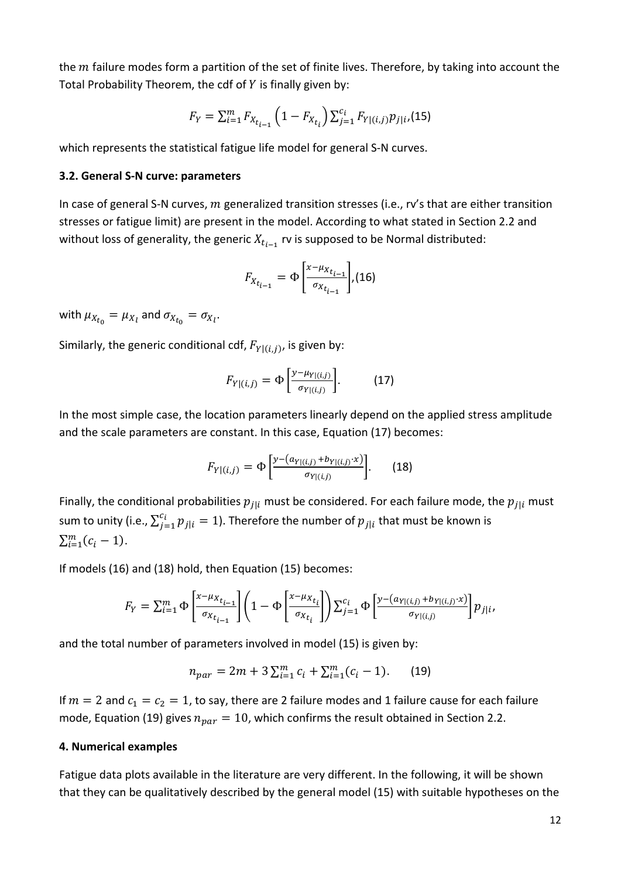the  $m$  failure modes form a partition of the set of finite lives. Therefore, by taking into account the Total Probability Theorem, the cdf of  $Y$  is finally given by:

$$
F_Y = \sum_{i=1}^{m} F_{X_{t_{i-1}}} \left( 1 - F_{X_{t_i}} \right) \sum_{j=1}^{c_i} F_{Y|(i,j)} p_{j|i} (15)
$$

which represents the statistical fatigue life model for general S-N curves.

#### **3.2. General S‐N curve: parameters**

In case of general S-N curves,  $m$  generalized transition stresses (i.e., rv's that are either transition stresses or fatigue limit) are present in the model. According to what stated in Section 2.2 and without loss of generality, the generic  $X_{t_{i-1}}$  rv is supposed to be Normal distributed:

$$
F_{X_{t_{i-1}}} = \Phi\left[\frac{x - \mu_{X_{t_{i-1}}}}{\sigma_{X_{t_{i-1}}}}\right], (16)
$$

with  $\mu_{X_{t_0}} = \mu_{X_l}$  and  $\sigma_{X_{t_0}} = \sigma_{X_l}$ .

Similarly, the generic conditional cdf,  $F_{Y|(i,j)}$ , is given by:

$$
F_{Y|(i,j)} = \Phi\left[\frac{y - \mu_{Y|(i,j)}}{\sigma_{Y|(i,j)}}\right].\tag{17}
$$

In the most simple case, the location parameters linearly depend on the applied stress amplitude and the scale parameters are constant. In this case, Equation (17) becomes:

$$
F_{Y|(i,j)} = \Phi\left[\frac{y - (a_{Y|(i,j)} + b_{Y|(i,j)} \cdot x)}{\sigma_{Y|(i,j)}}\right].
$$
 (18)

Finally, the conditional probabilities  $p_{j|i}$  must be considered. For each failure mode, the  $p_{j|i}$  must sum to unity (i.e.,  $\sum_{j=1}^{c_i} p_{j|i} = 1$ ). Therefore the number of  $p_{j|i}$  that must be known is  $\sum_{i=1}^{m} (c_i - 1).$ 

If models (16) and (18) hold, then Equation (15) becomes:

$$
F_Y = \sum_{i=1}^m \Phi\left[\frac{x - \mu_{X_{t_{i-1}}}}{\sigma_{X_{t_{i-1}}}}\right] \left(1 - \Phi\left[\frac{x - \mu_{X_{t_i}}}{\sigma_{X_{t_i}}}\right]\right) \sum_{j=1}^{c_i} \Phi\left[\frac{y - (a_{Y|(i,j)} + b_{Y|(i,j)} \cdot x)}{\sigma_{Y|(i,j)}}\right] p_{j|i},
$$

and the total number of parameters involved in model (15) is given by:

$$
n_{par} = 2m + 3\sum_{i=1}^{m} c_i + \sum_{i=1}^{m} (c_i - 1).
$$
 (19)

If  $m = 2$  and  $c_1 = c_2 = 1$ , to say, there are 2 failure modes and 1 failure cause for each failure mode, Equation (19) gives  $n_{par} = 10$ , which confirms the result obtained in Section 2.2.

#### **4. Numerical examples**

Fatigue data plots available in the literature are very different. In the following, it will be shown that they can be qualitatively described by the general model (15) with suitable hypotheses on the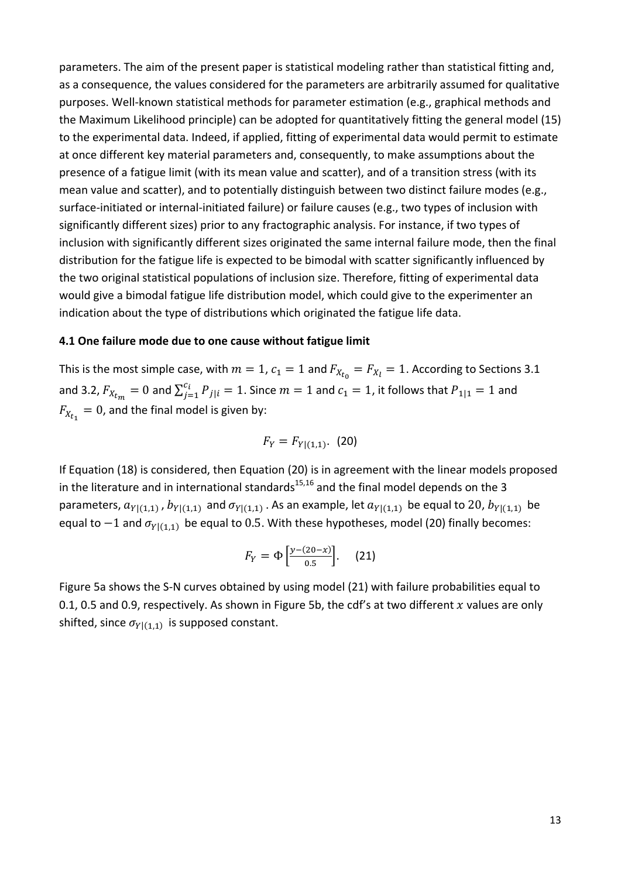parameters. The aim of the present paper is statistical modeling rather than statistical fitting and, as a consequence, the values considered for the parameters are arbitrarily assumed for qualitative purposes. Well-known statistical methods for parameter estimation (e.g., graphical methods and the Maximum Likelihood principle) can be adopted for quantitatively fitting the general model (15) to the experimental data. Indeed, if applied, fitting of experimental data would permit to estimate at once different key material parameters and, consequently, to make assumptions about the presence of a fatigue limit (with its mean value and scatter), and of a transition stress (with its mean value and scatter), and to potentially distinguish between two distinct failure modes (e.g., surface-initiated or internal-initiated failure) or failure causes (e.g., two types of inclusion with significantly different sizes) prior to any fractographic analysis. For instance, if two types of inclusion with significantly different sizes originated the same internal failure mode, then the final distribution for the fatigue life is expected to be bimodal with scatter significantly influenced by the two original statistical populations of inclusion size. Therefore, fitting of experimental data would give a bimodal fatigue life distribution model, which could give to the experimenter an indication about the type of distributions which originated the fatigue life data.

#### **4.1 One failure mode due to one cause without fatigue limit**

This is the most simple case, with  $m=1$ ,  $c_1=1$  and  $F_{X_{t_0}}=F_{X_l}=1$ . According to Sections 3.1 and 3.2,  $F_{X_{t_m}} = 0$  and  $\sum_{j=1}^{c_i} P_{j|i} = 1.$  Since  $m=1$  and  $c_1=1$ , it follows that  $P_{1|1} = 1$  and  $F_{X_{t}} = 0$ , and the final model is given by:

$$
F_Y = F_{Y|(1,1)}.\,\, (20)
$$

If Equation (18) is considered, then Equation (20) is in agreement with the linear models proposed in the literature and in international standards<sup>15,16</sup> and the final model depends on the 3 parameters,  $a_{Y|(1,1)}$ ,  $b_{Y|(1,1)}$  and  $\sigma_{Y|(1,1)}$ . As an example, let  $a_{Y|(1,1)}$  be equal to 20,  $b_{Y|(1,1)}$  be equal to  $-1$  and  $\sigma_{Y|(1,1)}$  be equal to 0.5. With these hypotheses, model (20) finally becomes:

$$
F_Y = \Phi \left[ \frac{y - (20 - x)}{0.5} \right].
$$
 (21)

Figure 5a shows the S‐N curves obtained by using model (21) with failure probabilities equal to 0.1, 0.5 and 0.9, respectively. As shown in Figure 5b, the cdf's at two different x values are only shifted, since  $\sigma_{Y|(1,1)}$  is supposed constant.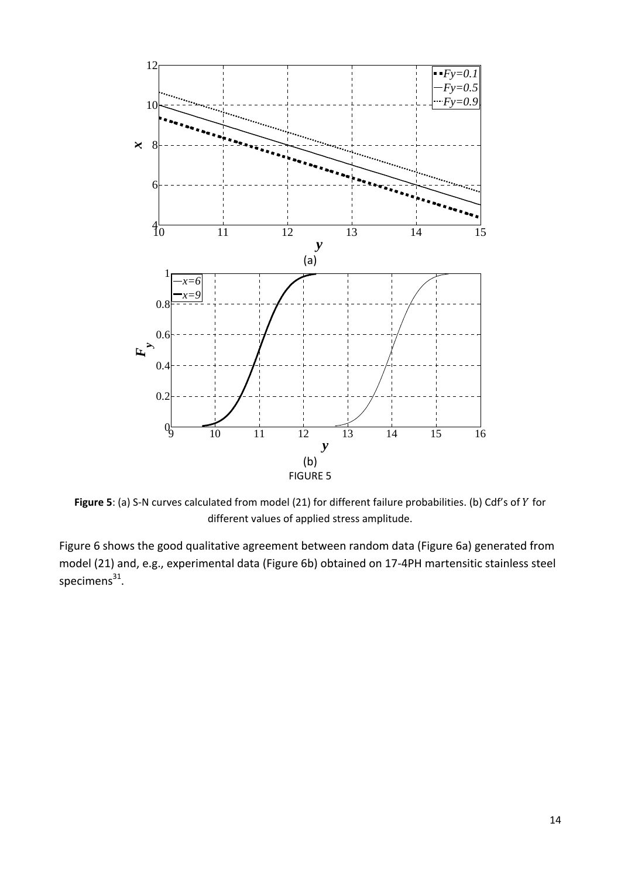

Figure 5: (a) S-N curves calculated from model (21) for different failure probabilities. (b) Cdf's of Y for different values of applied stress amplitude.

Figure 6 shows the good qualitative agreement between random data (Figure 6a) generated from model (21) and, e.g., experimental data (Figure 6b) obtained on 17‐4PH martensitic stainless steel specimens $^{31}$ .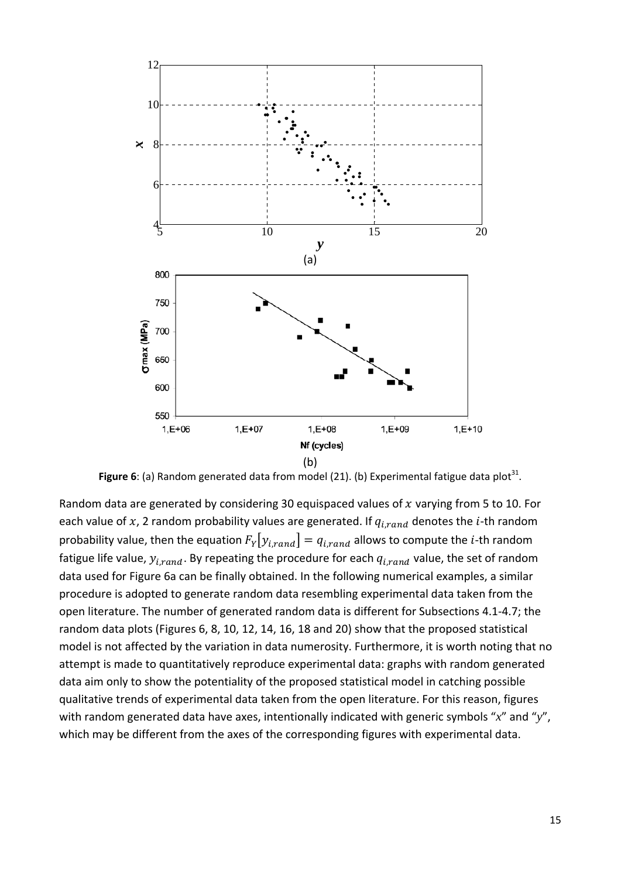

**Figure** 6: (a) Random generated data from model (21). (b) Experimental fatigue data plot<sup>31</sup>.

Random data are generated by considering 30 equispaced values of  $x$  varying from 5 to 10. For each value of x, 2 random probability values are generated. If  $q_{i, rand}$  denotes the *i*-th random probability value, then the equation  $F_Y[y_{irand}] = q_{irand}$  allows to compute the *i*-th random fatigue life value,  $y_{i, rand}$ . By repeating the procedure for each  $q_{i, rand}$  value, the set of random data used for Figure 6a can be finally obtained. In the following numerical examples, a similar procedure is adopted to generate random data resembling experimental data taken from the open literature. The number of generated random data is different for Subsections 4.1‐4.7; the random data plots (Figures 6, 8, 10, 12, 14, 16, 18 and 20) show that the proposed statistical model is not affected by the variation in data numerosity. Furthermore, it is worth noting that no attempt is made to quantitatively reproduce experimental data: graphs with random generated data aim only to show the potentiality of the proposed statistical model in catching possible qualitative trends of experimental data taken from the open literature. For this reason, figures with random generated data have axes, intentionally indicated with generic symbols "*x*" and "*y*", which may be different from the axes of the corresponding figures with experimental data.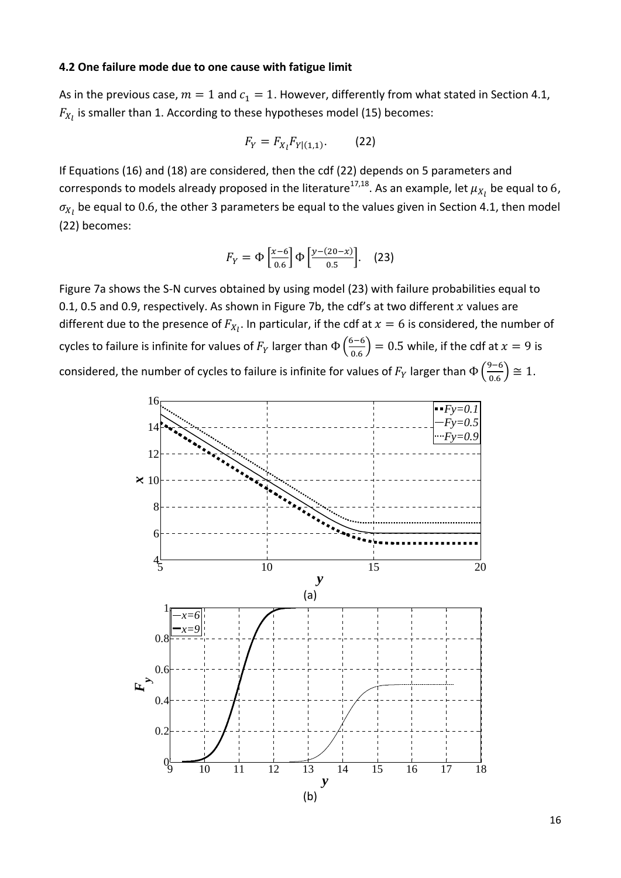#### **4.2 One failure mode due to one cause with fatigue limit**

As in the previous case,  $m=1$  and  $c_1=1$ . However, differently from what stated in Section 4.1,  $F_{X_l}$  is smaller than 1. According to these hypotheses model (15) becomes:

$$
F_Y = F_{X_l} F_{Y|(1,1)}.
$$
 (22)

If Equations (16) and (18) are considered, then the cdf (22) depends on 5 parameters and corresponds to models already proposed in the literature $^{17,18}$ . As an example, let  $\mu_{X_I}$  be equal to 6,  $\sigma_{\!X_I}$  be equal to  $0.6$ , the other 3 parameters be equal to the values given in Section 4.1, then model (22) becomes:

$$
F_Y = \Phi\left[\frac{x-6}{0.6}\right] \Phi\left[\frac{y-(20-x)}{0.5}\right].
$$
 (23)

Figure 7a shows the S‐N curves obtained by using model (23) with failure probabilities equal to 0.1, 0.5 and 0.9, respectively. As shown in Figure 7b, the cdf's at two different  $x$  values are different due to the presence of  $F_{X_l}.$  In particular, if the cdf at  $x=6$  is considered, the number of cycles to failure is infinite for values of  $F_Y$  larger than  $\Phi\left(\frac{6-6}{0.6}\right)=0.5$  while, if the cdf at  $x=9$  is considered, the number of cycles to failure is infinite for values of  $F_Y$  larger than  $\Phi\left(\frac{9-6}{0.6}\right) \cong 1.$ 

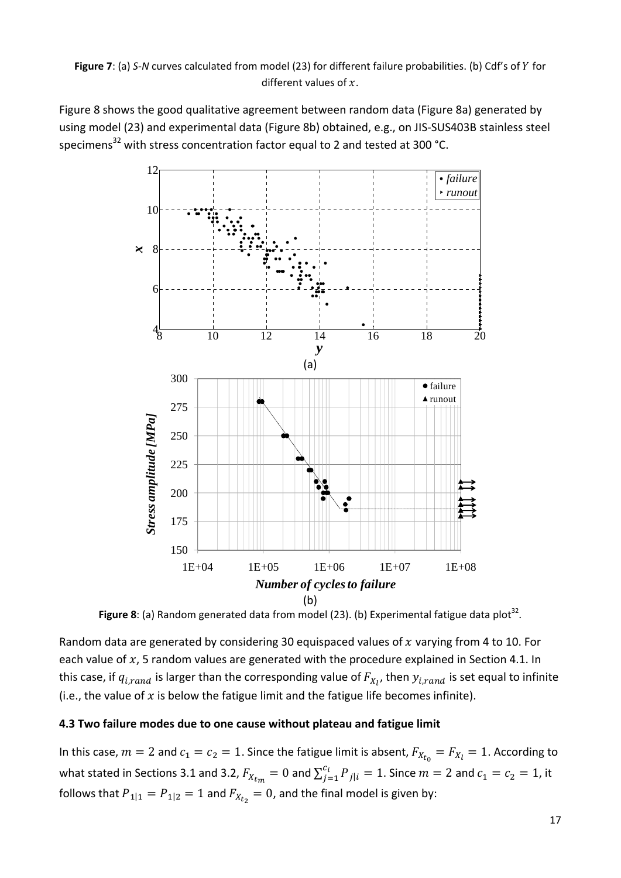Figure 8 shows the good qualitative agreement between random data (Figure 8a) generated by using model (23) and experimental data (Figure 8b) obtained, e.g., on JIS‐SUS403B stainless steel specimens<sup>32</sup> with stress concentration factor equal to 2 and tested at 300 °C.



Figure 8: (a) Random generated data from model (23). (b) Experimental fatigue data plot<sup>32</sup>.

Random data are generated by considering 30 equispaced values of  $x$  varying from 4 to 10. For each value of  $x$ , 5 random values are generated with the procedure explained in Section 4.1. In this case, if  $q_{i,rand}$  is larger than the corresponding value of  $F_{X_{l}}$ , then  $y_{i,rand}$  is set equal to infinite (i.e., the value of  $x$  is below the fatigue limit and the fatigue life becomes infinite).

## **4.3 Two failure modes due to one cause without plateau and fatigue limit**

In this case,  $m=2$  and  $c_1 = c_2 = 1$ . Since the fatigue limit is absent,  $F_{X_{t_0}} = F_{X_t} = 1$ . According to what stated in Sections 3.1 and 3.2,  $F_{X_{t_m}}=0$  and  $\sum_{j=1}^{c_i}P_{j|i}=1.$  Since  $m=2$  and  $c_1=c_2=1$ , it follows that  $P_{1|1} = P_{1|2} = 1$  and  $F_{X_{t_2}} = 0$ , and the final model is given by: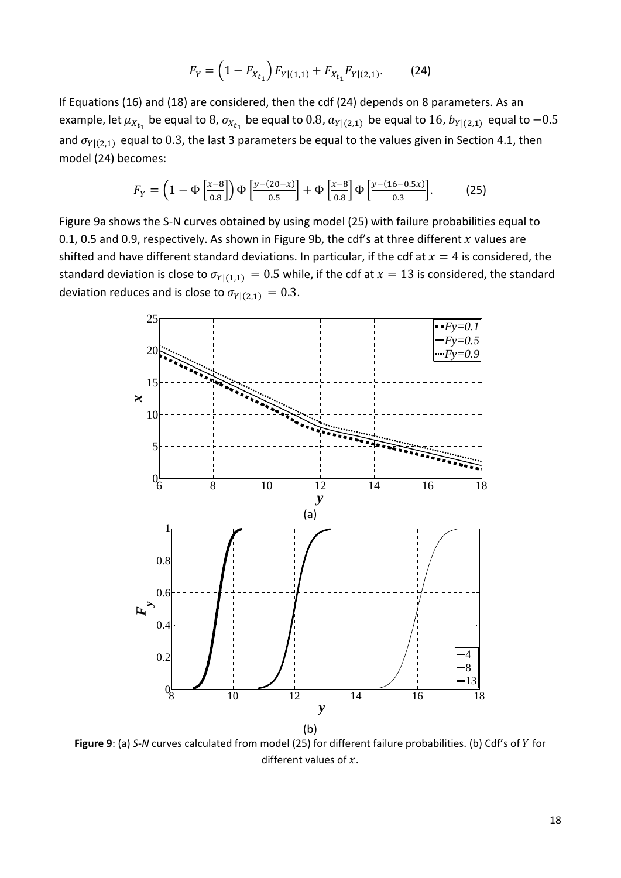$$
F_Y = \left(1 - F_{X_{t_1}}\right) F_{Y|(1,1)} + F_{X_{t_1}} F_{Y|(2,1)}.
$$
 (24)

If Equations (16) and (18) are considered, then the cdf (24) depends on 8 parameters. As an example, let  $\mu_{X_{t_1}}$  be equal to 8,  $\sigma_{X_{t_1}}$  be equal to 0.8,  $a_{Y|(2,1)}$  be equal to 16,  $b_{Y|(2,1)}$  equal to  $-0.5$ and  $\sigma_{Y|(2,1)}$  equal to 0.3, the last 3 parameters be equal to the values given in Section 4.1, then model (24) becomes:

$$
F_Y = \left(1 - \Phi\left[\frac{x-8}{0.8}\right]\right) \Phi\left[\frac{y-(20-x)}{0.5}\right] + \Phi\left[\frac{x-8}{0.8}\right] \Phi\left[\frac{y-(16-0.5x)}{0.3}\right].
$$
 (25)

Figure 9a shows the S‐N curves obtained by using model (25) with failure probabilities equal to 0.1, 0.5 and 0.9, respectively. As shown in Figure 9b, the cdf's at three different  $x$  values are shifted and have different standard deviations. In particular, if the cdf at  $x = 4$  is considered, the standard deviation is close to  $\sigma_{Y|(1,1)} = 0.5$  while, if the cdf at  $x = 13$  is considered, the standard deviation reduces and is close to  $\sigma_{Y|(2,1)} = 0.3$ .



Figure 9: (a) *S*-*N* curves calculated from model (25) for different failure probabilities. (b) Cdf's of *Y* for different values of  $x$ .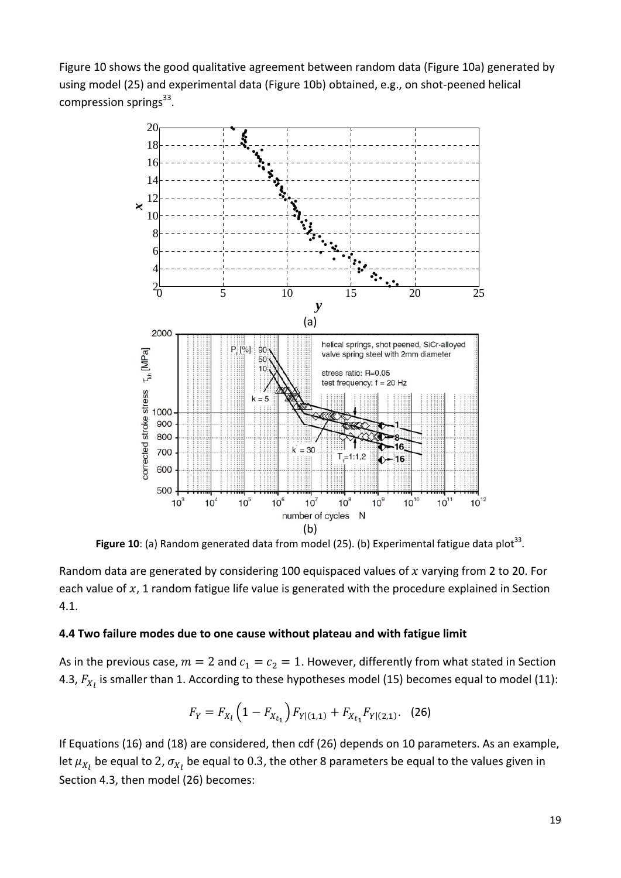Figure 10 shows the good qualitative agreement between random data (Figure 10a) generated by using model (25) and experimental data (Figure 10b) obtained, e.g., on shot‐peened helical compression springs $^{33}$ .



Figure 10: (a) Random generated data from model (25). (b) Experimental fatigue data plot<sup>33</sup>.

Random data are generated by considering 100 equispaced values of  $x$  varying from 2 to 20. For each value of  $x$ , 1 random fatigue life value is generated with the procedure explained in Section 4.1.

#### **4.4 Two failure modes due to one cause without plateau and with fatigue limit**

As in the previous case,  $m=2$  and  $c_1 = c_2 = 1$ . However, differently from what stated in Section 4.3,  $F_{X_l}$  is smaller than 1. According to these hypotheses model (15) becomes equal to model (11):

$$
F_Y = F_{X_l} \left( 1 - F_{X_{t_1}} \right) F_{Y| (1,1)} + F_{X_{t_1}} F_{Y| (2,1)}. \tag{26}
$$

If Equations (16) and (18) are considered, then cdf (26) depends on 10 parameters. As an example, let  $\mu_{X_l}$  be equal to 2,  $\sigma_{X_l}$  be equal to 0.3, the other 8 parameters be equal to the values given in Section 4.3, then model (26) becomes: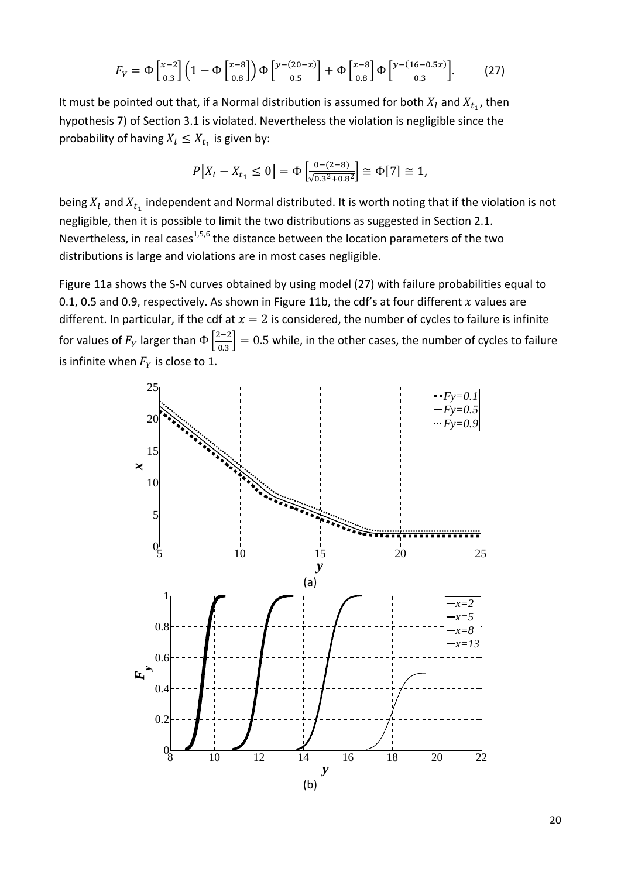$$
F_Y = \Phi\left[\frac{x-2}{0.3}\right] \left(1 - \Phi\left[\frac{x-8}{0.8}\right]\right) \Phi\left[\frac{y - (20-x)}{0.5}\right] + \Phi\left[\frac{x-8}{0.8}\right] \Phi\left[\frac{y - (16 - 0.5x)}{0.3}\right].
$$
 (27)

It must be pointed out that, if a Normal distribution is assumed for both  $X_l$  and  $X_{t_1}$ , then hypothesis 7) of Section 3.1 is violated. Nevertheless the violation is negligible since the probability of having  $X_l \leq X_{t_1}$  is given by:

$$
P[X_l - X_{t_1} \le 0] = \Phi\left[\frac{0 - (2 - 8)}{\sqrt{0.3^2 + 0.8^2}}\right] \cong \Phi[7] \cong 1,
$$

being  $X_l$  and  $X_{t_1}$  independent and Normal distributed. It is worth noting that if the violation is not negligible, then it is possible to limit the two distributions as suggested in Section 2.1. Nevertheless, in real cases<sup>1,5,6</sup> the distance between the location parameters of the two distributions is large and violations are in most cases negligible.

Figure 11a shows the S-N curves obtained by using model (27) with failure probabilities equal to 0.1, 0.5 and 0.9, respectively. As shown in Figure 11b, the cdf's at four different  $x$  values are different. In particular, if the cdf at  $x = 2$  is considered, the number of cycles to failure is infinite for values of  $F_Y$  larger than  $\Phi\left[\frac{2-2}{0.3}\right]=0.5$  while, in the other cases, the number of cycles to failure is infinite when  $F_Y$  is close to 1.

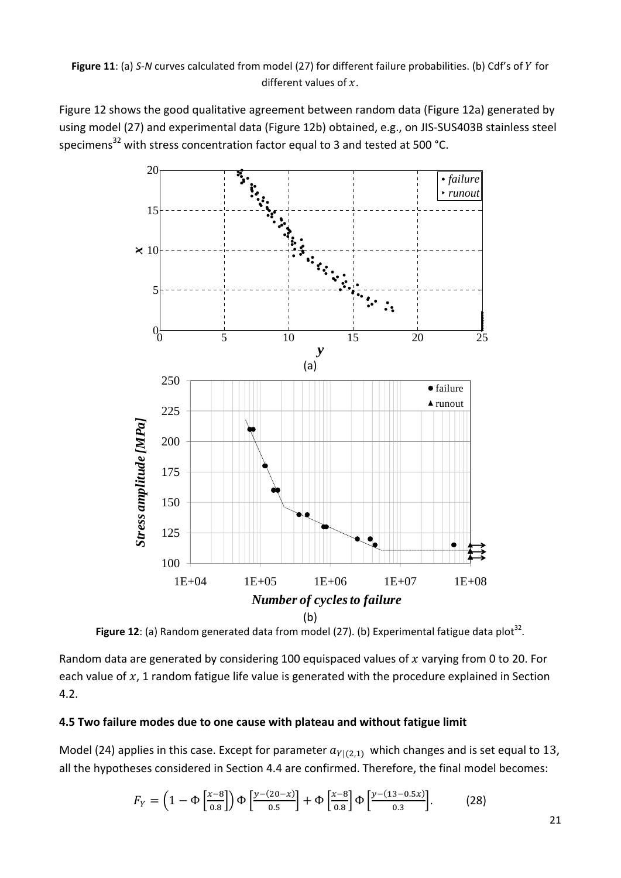Figure 12 shows the good qualitative agreement between random data (Figure 12a) generated by using model (27) and experimental data (Figure 12b) obtained, e.g., on JIS‐SUS403B stainless steel specimens<sup>32</sup> with stress concentration factor equal to 3 and tested at 500 °C.



Figure 12: (a) Random generated data from model (27). (b) Experimental fatigue data plot<sup>32</sup>.

Random data are generated by considering 100 equispaced values of  $x$  varying from 0 to 20. For each value of  $x$ , 1 random fatigue life value is generated with the procedure explained in Section 4.2.

## **4.5 Two failure modes due to one cause with plateau and without fatigue limit**

Model (24) applies in this case. Except for parameter  $a_{Y|(2,1)}$  which changes and is set equal to 13, all the hypotheses considered in Section 4.4 are confirmed. Therefore, the final model becomes:

$$
F_Y = \left(1 - \Phi\left[\frac{x-8}{0.8}\right]\right) \Phi\left[\frac{y - (20-x)}{0.5}\right] + \Phi\left[\frac{x-8}{0.8}\right] \Phi\left[\frac{y - (13 - 0.5x)}{0.3}\right].
$$
 (28)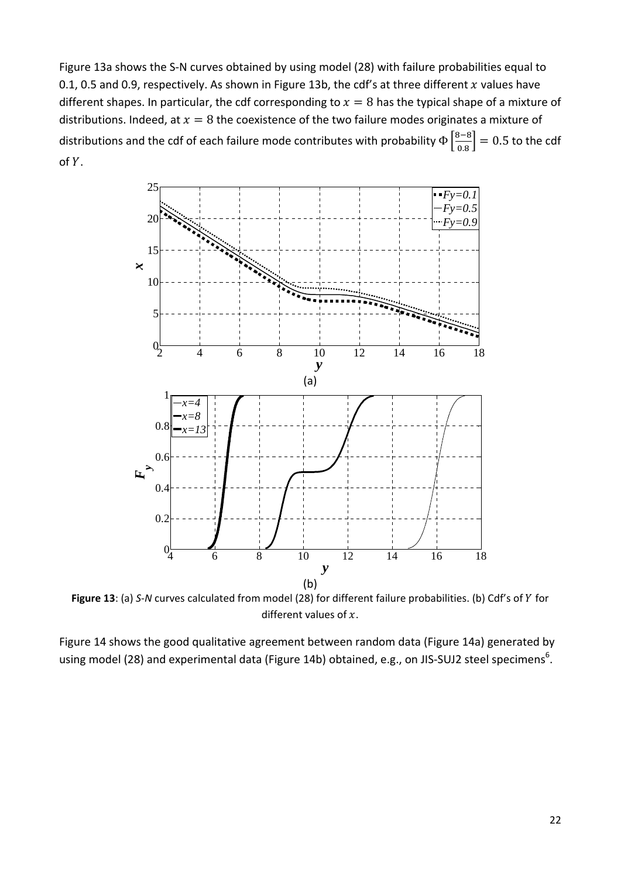Figure 13a shows the S‐N curves obtained by using model (28) with failure probabilities equal to 0.1, 0.5 and 0.9, respectively. As shown in Figure 13b, the cdf's at three different  $x$  values have different shapes. In particular, the cdf corresponding to  $x = 8$  has the typical shape of a mixture of distributions. Indeed, at  $x = 8$  the coexistence of the two failure modes originates a mixture of distributions and the cdf of each failure mode contributes with probability  $\Phi\left[\frac{8-8}{0.8}\right]=0.5$  to the cdf of Y.



Figure 13: (a) *S-N* curves calculated from model (28) for different failure probabilities. (b) Cdf's of *Y* for different values of  $x$ .

Figure 14 shows the good qualitative agreement between random data (Figure 14a) generated by using model (28) and experimental data (Figure 14b) obtained, e.g., on JIS-SUJ2 steel specimens $^6$ .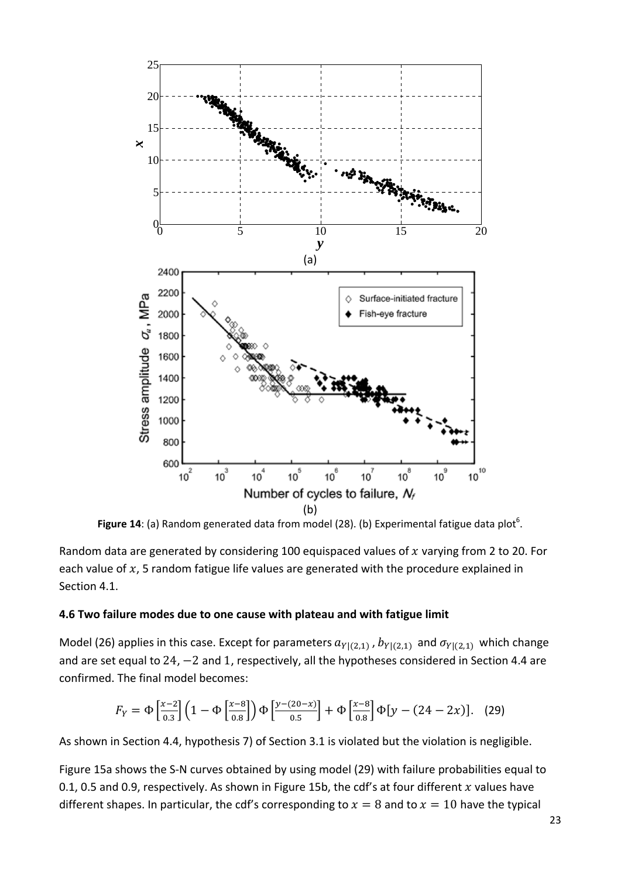

Figure 14: (a) Random generated data from model (28). (b) Experimental fatigue data plot<sup>6</sup>.

Random data are generated by considering 100 equispaced values of  $x$  varying from 2 to 20. For each value of  $x$ , 5 random fatigue life values are generated with the procedure explained in Section 4.1.

#### **4.6 Two failure modes due to one cause with plateau and with fatigue limit**

Model (26) applies in this case. Except for parameters  $a_{Y|(2,1)}$ ,  $b_{Y|(2,1)}$  and  $\sigma_{Y|(2,1)}$  which change and are set equal to  $24$ ,  $-2$  and 1, respectively, all the hypotheses considered in Section 4.4 are confirmed. The final model becomes:

$$
F_Y = \Phi\left[\frac{x-2}{0.3}\right] \left(1 - \Phi\left[\frac{x-8}{0.8}\right]\right) \Phi\left[\frac{y - (20-x)}{0.5}\right] + \Phi\left[\frac{x-8}{0.8}\right] \Phi\left[y - (24 - 2x)\right].
$$
 (29)

As shown in Section 4.4, hypothesis 7) of Section 3.1 is violated but the violation is negligible.

Figure 15a shows the S‐N curves obtained by using model (29) with failure probabilities equal to 0.1, 0.5 and 0.9, respectively. As shown in Figure 15b, the cdf's at four different  $x$  values have different shapes. In particular, the cdf's corresponding to  $x = 8$  and to  $x = 10$  have the typical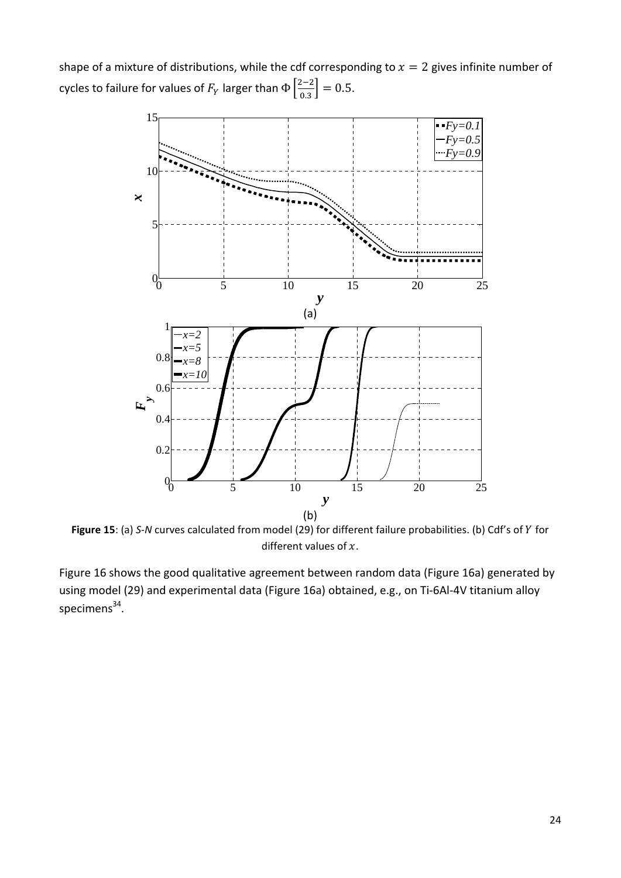shape of a mixture of distributions, while the cdf corresponding to  $x = 2$  gives infinite number of cycles to failure for values of  $F_Y$  larger than  $\Phi\left[\frac{2-2}{0.3}\right]=0.5.$ 



Figure 15: (a) *S-N* curves calculated from model (29) for different failure probabilities. (b) Cdf's of Y for different values of  $x$ .

Figure 16 shows the good qualitative agreement between random data (Figure 16a) generated by using model (29) and experimental data (Figure 16a) obtained, e.g., on Ti‐6Al‐4V titanium alloy specimens<sup>34</sup>.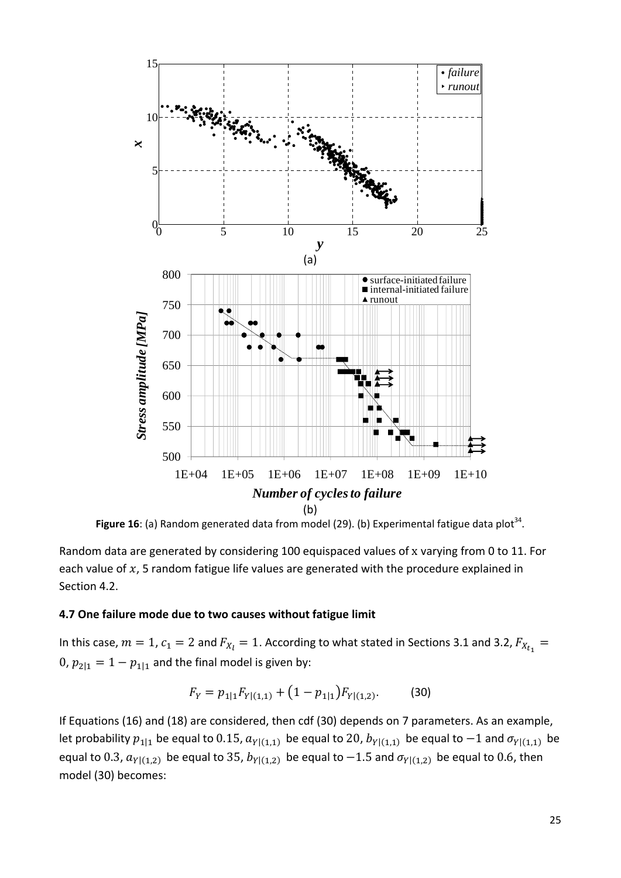

Figure 16: (a) Random generated data from model (29). (b) Experimental fatigue data plot<sup>34</sup>.

Random data are generated by considering 100 equispaced values of x varying from 0 to 11. For each value of  $x$ , 5 random fatigue life values are generated with the procedure explained in Section 4.2.

#### **4.7 One failure mode due to two causes without fatigue limit**

In this case,  $m=1$ ,  $c_1=2$  and  $F_{X_l}=1$ . According to what stated in Sections 3.1 and 3.2,  $F_{X_{t_1}}=$ 0,  $p_{2|1} = 1 - p_{1|1}$  and the final model is given by:

$$
F_Y = p_{1|1} F_{Y|(1,1)} + (1 - p_{1|1}) F_{Y|(1,2)}.
$$
 (30)

If Equations (16) and (18) are considered, then cdf (30) depends on 7 parameters. As an example, let probability  $p_{11}$  be equal to 0.15,  $a_{Y|(1,1)}$  be equal to 20,  $b_{Y|(1,1)}$  be equal to  $-1$  and  $\sigma_{Y|(1,1)}$  be equal to 0.3,  $a_{Y|(1,2)}$  be equal to 35,  $b_{Y|(1,2)}$  be equal to  $-1.5$  and  $\sigma_{Y|(1,2)}$  be equal to 0.6, then model (30) becomes: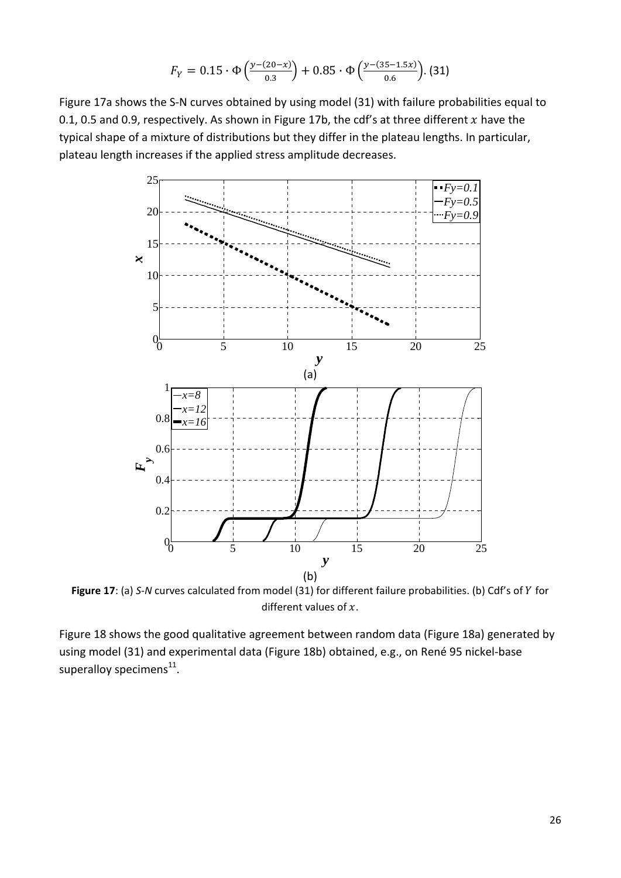$$
F_Y = 0.15 \cdot \Phi\left(\frac{y - (20 - x)}{0.3}\right) + 0.85 \cdot \Phi\left(\frac{y - (35 - 1.5x)}{0.6}\right).
$$
 (31)

Figure 17a shows the S‐N curves obtained by using model (31) with failure probabilities equal to 0.1, 0.5 and 0.9, respectively. As shown in Figure 17b, the cdf's at three different  $x$  have the typical shape of a mixture of distributions but they differ in the plateau lengths. In particular, plateau length increases if the applied stress amplitude decreases.



Figure 17: (a) *S*-*N* curves calculated from model (31) for different failure probabilities. (b) Cdf's of *Y* for different values of  $x$ .

Figure 18 shows the good qualitative agreement between random data (Figure 18a) generated by using model (31) and experimental data (Figure 18b) obtained, e.g., on René 95 nickel‐base superalloy specimens $^{11}$ .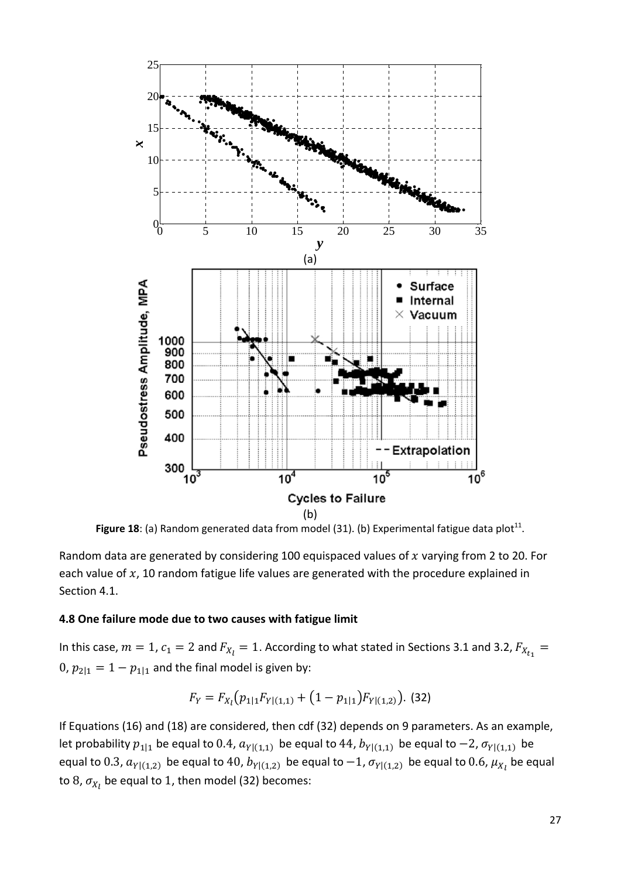

Figure 18: (a) Random generated data from model (31). (b) Experimental fatigue data plot<sup>11</sup>.

Random data are generated by considering 100 equispaced values of  $x$  varying from 2 to 20. For each value of  $x$ , 10 random fatigue life values are generated with the procedure explained in Section 4.1.

#### **4.8 One failure mode due to two causes with fatigue limit**

In this case,  $m=1$ ,  $c_1=2$  and  $F_{X_l}=1$ . According to what stated in Sections 3.1 and 3.2,  $F_{X_{t_1}}=$  $0, p_{2|1} = 1 - p_{1|1}$  and the final model is given by:

$$
F_Y = F_{X_l}(p_{1|1}F_{Y|(1,1)} + (1 - p_{1|1})F_{Y|(1,2)}).
$$
 (32)

If Equations (16) and (18) are considered, then cdf (32) depends on 9 parameters. As an example, let probability  $p_{1|1}$  be equal to 0.4,  $a_{Y|(1,1)}$  be equal to 44,  $b_{Y|(1,1)}$  be equal to  $-2$ ,  $\sigma_{Y|(1,1)}$  be equal to  $0.3$ ,  $a_{Y|(1,2)}$  be equal to  $40$ ,  $b_{Y|(1,2)}$  be equal to  $-1$ ,  $\sigma_{Y|(1,2)}$  be equal to  $0.6$ ,  $\mu_{X_l}$  be equal to 8,  $\sigma_{\!X_l}$  be equal to 1, then model (32) becomes: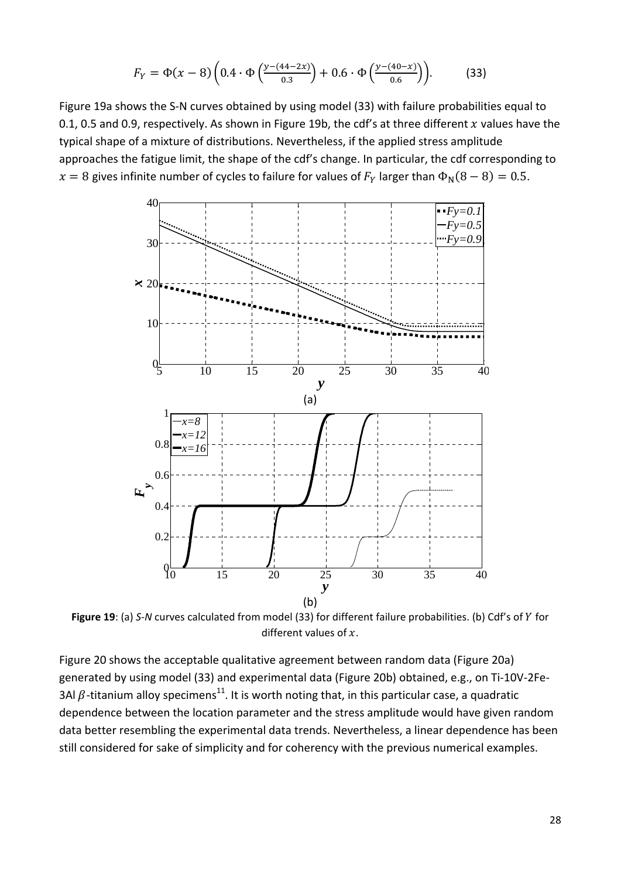$$
F_Y = \Phi(x - 8) \left( 0.4 \cdot \Phi \left( \frac{y - (44 - 2x)}{0.3} \right) + 0.6 \cdot \Phi \left( \frac{y - (40 - x)}{0.6} \right) \right).
$$
 (33)

Figure 19a shows the S‐N curves obtained by using model (33) with failure probabilities equal to 0.1, 0.5 and 0.9, respectively. As shown in Figure 19b, the cdf's at three different x values have the typical shape of a mixture of distributions. Nevertheless, if the applied stress amplitude approaches the fatigue limit, the shape of the cdf's change. In particular, the cdf corresponding to  $x = 8$  gives infinite number of cycles to failure for values of  $F<sub>Y</sub>$  larger than  $\Phi<sub>N</sub>(8-8) = 0.5$ .



**Figure 19**: (a) *S*-*N* curves calculated from model (33) for different failure probabilities. (b) Cdf's of *Y* for different values of  $x$ .

Figure 20 shows the acceptable qualitative agreement between random data (Figure 20a) generated by using model (33) and experimental data (Figure 20b) obtained, e.g., on Ti‐10V‐2Fe‐ 3Al  $\beta$ -titanium alloy specimens<sup>11</sup>. It is worth noting that, in this particular case, a quadratic dependence between the location parameter and the stress amplitude would have given random data better resembling the experimental data trends. Nevertheless, a linear dependence has been still considered for sake of simplicity and for coherency with the previous numerical examples.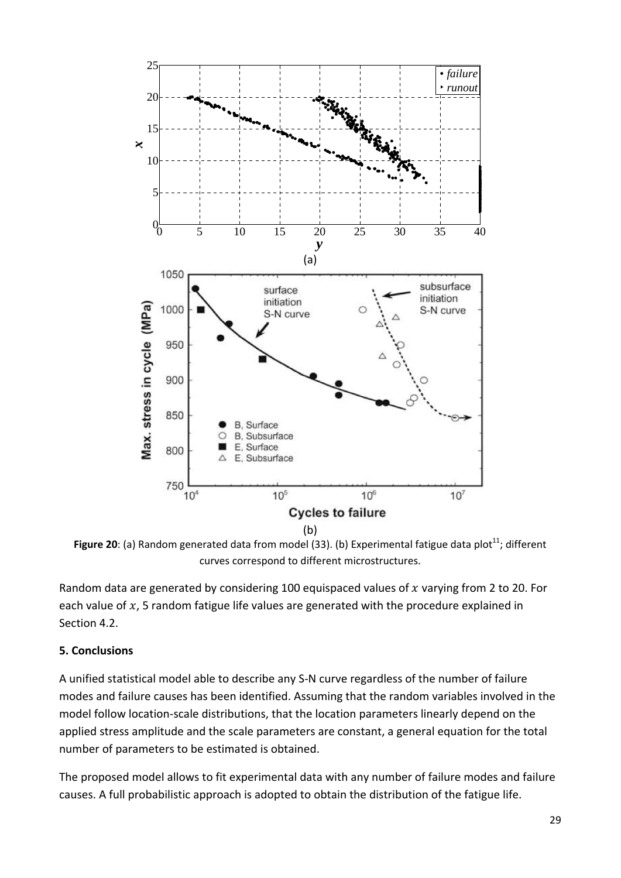

**Figure 20:** (a) Random generated data from model (33). (b) Experimental fatigue data plot<sup>11</sup>; different curves correspond to different microstructures.

Random data are generated by considering 100 equispaced values of  $x$  varying from 2 to 20. For each value of  $x$ , 5 random fatigue life values are generated with the procedure explained in Section 4.2.

## **5. Conclusions**

A unified statistical model able to describe any S‐N curve regardless of the number of failure modes and failure causes has been identified. Assuming that the random variables involved in the model follow location‐scale distributions, that the location parameters linearly depend on the applied stress amplitude and the scale parameters are constant, a general equation for the total number of parameters to be estimated is obtained.

The proposed model allows to fit experimental data with any number of failure modes and failure causes. A full probabilistic approach is adopted to obtain the distribution of the fatigue life.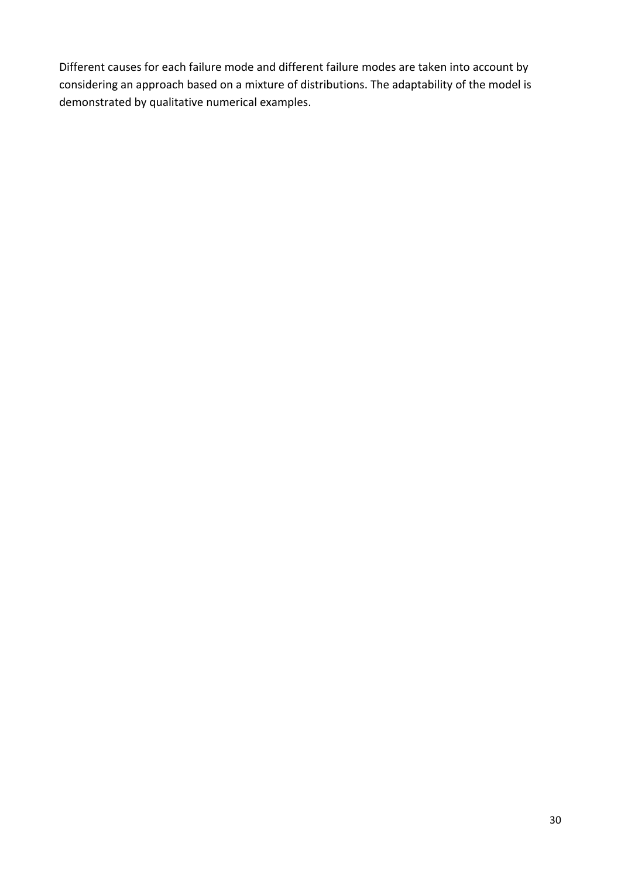Different causes for each failure mode and different failure modes are taken into account by considering an approach based on a mixture of distributions. The adaptability of the model is demonstrated by qualitative numerical examples.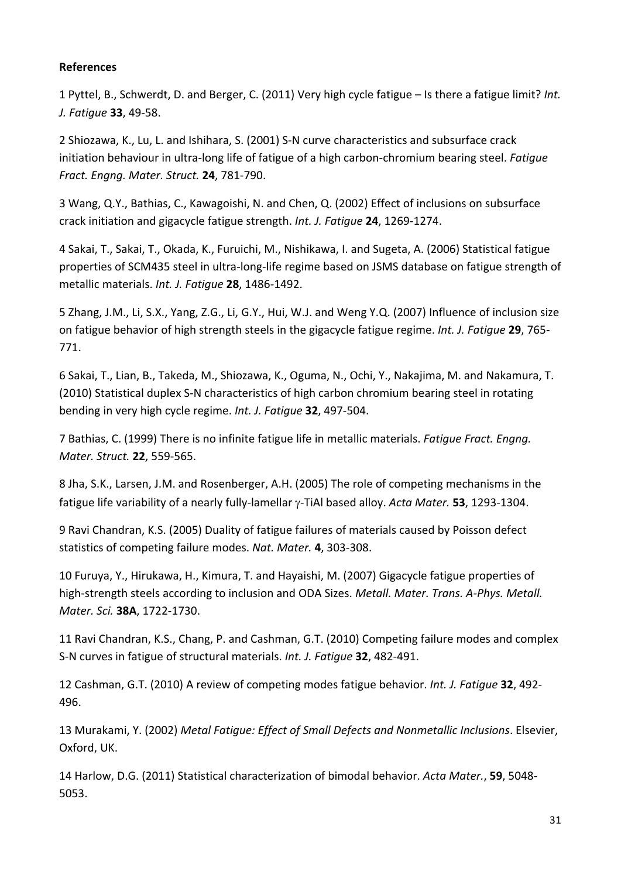### **References**

1 Pyttel, B., Schwerdt, D. and Berger, C. (2011) Very high cycle fatigue – Is there a fatigue limit? *Int. J. Fatigue* **33**, 49‐58.

2 Shiozawa, K., Lu, L. and Ishihara, S. (2001) S‐N curve characteristics and subsurface crack initiation behaviour in ultra‐long life of fatigue of a high carbon‐chromium bearing steel. *Fatigue Fract. Engng. Mater. Struct.* **24**, 781‐790.

3 Wang, Q.Y., Bathias, C., Kawagoishi, N. and Chen, Q. (2002) Effect of inclusions on subsurface crack initiation and gigacycle fatigue strength. *Int. J. Fatigue* **24**, 1269‐1274.

4 Sakai, T., Sakai, T., Okada, K., Furuichi, M., Nishikawa, I. and Sugeta, A. (2006) Statistical fatigue properties of SCM435 steel in ultra‐long‐life regime based on JSMS database on fatigue strength of metallic materials. *Int. J. Fatigue* **28**, 1486‐1492.

5 Zhang, J.M., Li, S.X., Yang, Z.G., Li, G.Y., Hui, W.J. and Weng Y.Q. (2007) Influence of inclusion size on fatigue behavior of high strength steels in the gigacycle fatigue regime. *Int. J. Fatigue* **29**, 765‐ 771.

6 Sakai, T., Lian, B., Takeda, M., Shiozawa, K., Oguma, N., Ochi, Y., Nakajima, M. and Nakamura, T. (2010) Statistical duplex S‐N characteristics of high carbon chromium bearing steel in rotating bending in very high cycle regime. *Int. J. Fatigue* **32**, 497‐504.

7 Bathias, C. (1999) There is no infinite fatigue life in metallic materials. *Fatigue Fract. Engng. Mater. Struct.* **22**, 559‐565.

8 Jha, S.K., Larsen, J.M. and Rosenberger, A.H. (2005) The role of competing mechanisms in the fatigue life variability of a nearly fully-lamellar  $\gamma$ -TiAl based alloy. *Acta Mater.* **53**, 1293-1304.

9 Ravi Chandran, K.S. (2005) Duality of fatigue failures of materials caused by Poisson defect statistics of competing failure modes. *Nat. Mater.* **4**, 303‐308.

10 Furuya, Y., Hirukawa, H., Kimura, T. and Hayaishi, M. (2007) Gigacycle fatigue properties of high‐strength steels according to inclusion and ODA Sizes. *Metall. Mater. Trans. A‐Phys. Metall. Mater. Sci.* **38A**, 1722‐1730.

11 Ravi Chandran, K.S., Chang, P. and Cashman, G.T. (2010) Competing failure modes and complex S‐N curves in fatigue of structural materials. *Int. J. Fatigue* **32**, 482‐491.

12 Cashman, G.T. (2010) A review of competing modes fatigue behavior. *Int. J. Fatigue* **32**, 492‐ 496.

13 Murakami, Y. (2002) *Metal Fatigue: Effect of Small Defects and Nonmetallic Inclusions*. Elsevier, Oxford, UK.

14 Harlow, D.G. (2011) Statistical characterization of bimodal behavior. *Acta Mater.*, **59**, 5048‐ 5053.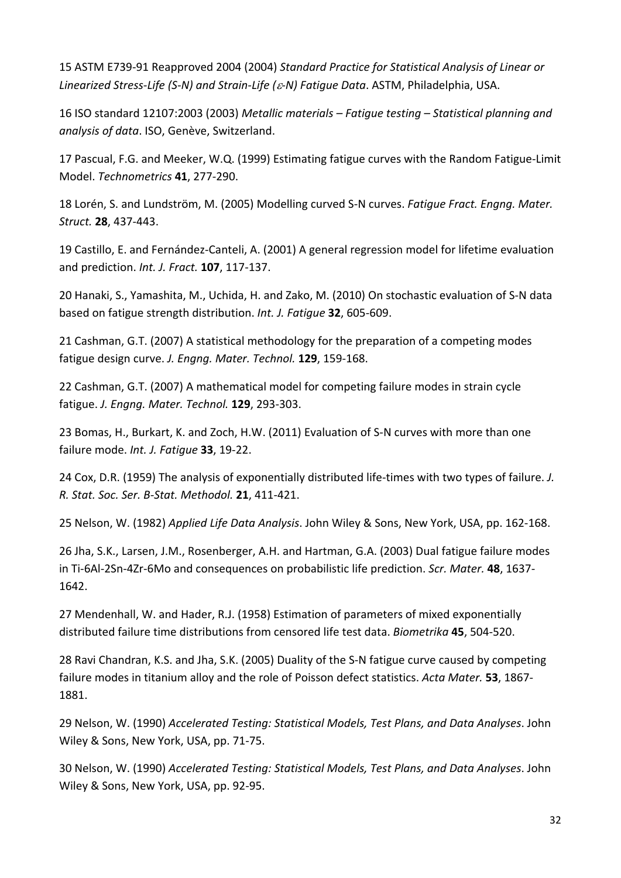15 ASTM E739‐91 Reapproved 2004 (2004) *Standard Practice for Statistical Analysis of Linear or Linearized Stress‐Life (S‐N) and Strain‐Life (‐N) Fatigue Data*. ASTM, Philadelphia, USA.

16 ISO standard 12107:2003 (2003) *Metallic materials – Fatigue testing – Statistical planning and analysis of data*. ISO, Genève, Switzerland.

17 Pascual, F.G. and Meeker, W.Q. (1999) Estimating fatigue curves with the Random Fatigue‐Limit Model. *Technometrics* **41**, 277‐290.

18 Lorén, S. and Lundström, M. (2005) Modelling curved S‐N curves. *Fatigue Fract. Engng. Mater. Struct.* **28**, 437‐443.

19 Castillo, E. and Fernández‐Canteli, A. (2001) A general regression model for lifetime evaluation and prediction. *Int. J. Fract.* **107**, 117‐137.

20 Hanaki, S., Yamashita, M., Uchida, H. and Zako, M. (2010) On stochastic evaluation of S‐N data based on fatigue strength distribution. *Int. J. Fatigue* **32**, 605‐609.

21 Cashman, G.T. (2007) A statistical methodology for the preparation of a competing modes fatigue design curve. *J. Engng. Mater. Technol.* **129**, 159‐168.

22 Cashman, G.T. (2007) A mathematical model for competing failure modes in strain cycle fatigue. *J. Engng. Mater. Technol.* **129**, 293‐303.

23 Bomas, H., Burkart, K. and Zoch, H.W. (2011) Evaluation of S‐N curves with more than one failure mode. *Int. J. Fatigue* **33**, 19‐22.

24 Cox, D.R. (1959) The analysis of exponentially distributed life‐times with two types of failure. *J. R. Stat. Soc. Ser. B‐Stat. Methodol.* **21**, 411‐421.

25 Nelson, W. (1982) *Applied Life Data Analysis*. John Wiley & Sons, New York, USA, pp. 162‐168.

26 Jha, S.K., Larsen, J.M., Rosenberger, A.H. and Hartman, G.A. (2003) Dual fatigue failure modes in Ti‐6Al‐2Sn‐4Zr‐6Mo and consequences on probabilistic life prediction. *Scr. Mater.* **48**, 1637‐ 1642.

27 Mendenhall, W. and Hader, R.J. (1958) Estimation of parameters of mixed exponentially distributed failure time distributions from censored life test data. *Biometrika* **45**, 504‐520.

28 Ravi Chandran, K.S. and Jha, S.K. (2005) Duality of the S‐N fatigue curve caused by competing failure modes in titanium alloy and the role of Poisson defect statistics. *Acta Mater.* **53**, 1867‐ 1881.

29 Nelson, W. (1990) *Accelerated Testing: Statistical Models, Test Plans, and Data Analyses*. John Wiley & Sons, New York, USA, pp. 71‐75.

30 Nelson, W. (1990) *Accelerated Testing: Statistical Models, Test Plans, and Data Analyses*. John Wiley & Sons, New York, USA, pp. 92‐95.